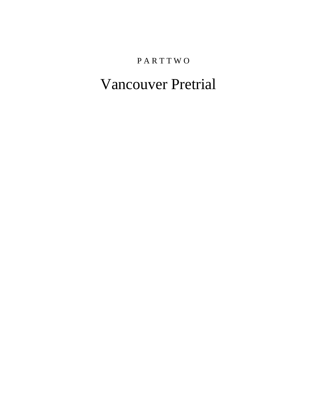# P A R T T W O

# Vancouver Pretrial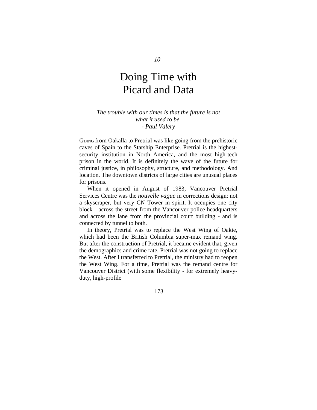# Doing Time with Picard and Data

### *The trouble with our times is that the future is not what it used to be. - Paul Valery*

GDING from Oakalla to Pretrial was like going from the prehistoric caves of Spain to the Starship Enterprise. Pretrial is the highestsecurity institution in North America, and the most high-tech prison in the world. It is definitely the wave of the future for criminal justice, in philosophy, structure, and methodology. And location. The downtown districts of large cities are unusual places for prisons.

When it opened in August of 1983, Vancouver Pretrial Services Centre was the *nouvelle vague* in corrections design: not a skyscraper, but very CN Tower in spirit. It occupies one city block - across the street from the Vancouver police headquarters and across the lane from the provincial court building - and is connected by tunnel to both.

In theory, Pretrial was to replace the West Wing of Oakie, which had been the British Columbia super-max remand wing. But after the construction of Pretrial, it became evident that, given the demographics and crime rate, Pretrial was not going to replace the West. After I transferred to Pretrial, the ministry had to reopen the West Wing. For a time, Pretrial was the remand centre for Vancouver District (with some flexibility - for extremely heavyduty, high-profile

173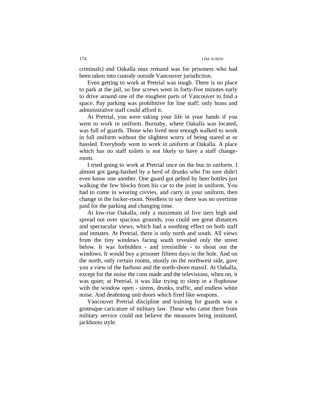criminals) and Oakalla max remand was for prisoners who had been taken into custody outside Vancouver jurisdiction.

Even getting to work at Pretrial was tough. There is no place to park at the jail, so line screws went in forty-five minutes early to drive around one of the roughest parts of Vancouver to find a space. Pay parking was prohibitive for line staff; only brass and administrative staff could afford it.

At Pretrial, you were taking your life in your hands if you went to work in uniform. Burnaby, where Oakalla was located, was full of guards. Those who lived near enough walked to work in full uniform without the slightest worry of being stared at or hassled. Everybody went to work in uniform at Oakalla. A place which has no staff toilets is not likely to have a staff changeroom.

I tried going to work at Pretrial once on the bus in uniform. I almost got gang-bashed by a herd of drunks who I'm sure didn't even know one another. One guard got pelted by beer bottles just walking the few blocks from his car to the joint in uniform. You had to come in wearing civvies, and carry in your uniform, then change in the locker-room. Needless to say there was no overtime paid for the parking and changing time.

At low-rise Oakalla, only a maximum of five tiers high and spread out over spacious grounds, you could see great distances and spectacular views, which had a soothing effect on both staff and inmates. At Pretrial, there is only north and south. All views from the tiny windows facing south revealed only the street below. It was forbidden - and irresistible - to shout out the windows. It would buy a prisoner fifteen days in the hole. And on the north, only certain rooms, mostly on the northwest side, gave you a view of the harbour and the north-shore massif. At Oakalla, except for the noise the cons made and the televisions, when on, it was quiet; at Pretrial, it was like trying to sleep in a flophouse with the window open - sirens, drunks, traffic, and endless white noise. And deafening unit doors which fired like weapons.

Vancouver Pretrial discipline and training for guards was a grotesque caricature of military law. Those who came there from military service could not believe the measures being instituted, jackboots style.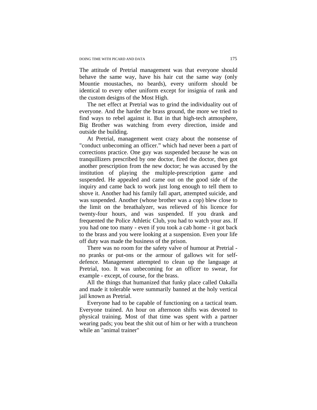The attitude of Pretrial management was that everyone should behave the same way, have his hair cut the same way (only Mountie moustaches, no beards), every uniform should be identical to every other uniform except for insignia of rank and the custom designs of the Most High.

The net effect at Pretrial was to grind the individuality out of everyone. And the harder the brass ground, the more we tried to find ways to rebel against it. But in that high-tech atmosphere, Big Brother was watching from every direction, inside and outside the building.

At Pretrial, management went crazy about the nonsense of "conduct unbecoming an officer." which had never been a part of corrections practice. One guy was suspended because he was on tranquillizers prescribed by one doctor, fired the doctor, then got another prescription from the new doctor; he was accused by the institution of playing the multiple-prescription game and suspended. He appealed and came out on the good side of the inquiry and came back to work just long enough to tell them to shove it. Another had his family fall apart, attempted suicide, and was suspended. Another (whose brother was a cop) blew close to the limit on the breathalyzer, was relieved of his licence for twenty-four hours, and was suspended. If you drank and frequented the Police Athletic Club, you had to watch your ass. If you had one too many - even if you took a cab home - it got back to the brass and you were looking at a suspension. Even your life off duty was made the business of the prison.

There was no room for the safety valve of humour at Pretrial no pranks or put-ons or the armour of gallows wit for selfdefence. Management attempted to clean up the language at Pretrial, too. It was unbecoming for an officer to swear, for example - except, of course, for the brass.

All the things that humanized that funky place called Oakalla and made it tolerable were summarily banned at the holy vertical jail known as Pretrial.

Everyone had to be capable of functioning on a tactical team. Everyone trained. An hour on afternoon shifts was devoted to physical training. Most of that time was spent with a partner wearing pads; you beat the shit out of him or her with a truncheon while an "animal trainer"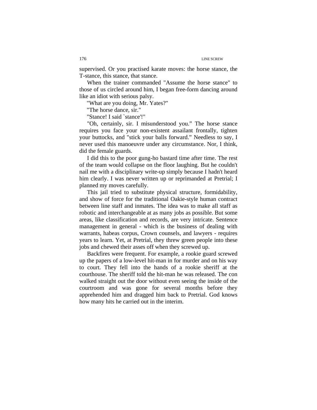supervised. Or you practised karate moves: the horse stance, the T-stance, this stance, that stance.

When the trainer commanded "Assume the horse stance" to those of us circled around him, I began free-form dancing around like an idiot with serious palsy.

"What are you doing, Mr. Yates?"

"The horse dance, sir."

"Stance! I said `stance'!"

"Oh, certainly, sir. I misunderstood you." The horse stance requires you face your non-existent assailant frontally, tighten your buttocks, and "stick your balls forward." Needless to say, I never used this manoeuvre under any circumstance. Nor, I think, did the female guards.

I did this to the poor gung-ho bastard time after time. The rest of the team would collapse on the floor laughing. But he couldn't nail me with a disciplinary write-up simply because I hadn't heard him clearly. I was never written up or reprimanded at Pretrial; I planned my moves carefully.

This jail tried to substitute physical structure, formidability, and show of force for the traditional Oakie-style human contract between line staff and inmates. The idea was to make all staff as robotic and interchangeable at as many jobs as possible. But some areas, like classification and records, are very intricate. Sentence management in general - which is the business of dealing with warrants, habeas corpus, Crown counsels, and lawyers - requires years to learn. Yet, at Pretrial, they threw green people into these jobs and chewed their asses off when they screwed up.

Backfires were frequent. For example, a rookie guard screwed up the papers of a low-level hit-man in for murder and on his way to court. They fell into the hands of a rookie sheriff at the courthouse. The sheriff told the hit-man he was released. The con walked straight out the door without even seeing the inside of the courtroom and was gone for several months before they apprehended him and dragged him back to Pretrial. God knows how many hits he carried out in the interim.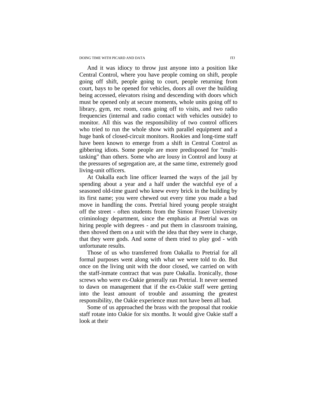And it was idiocy to throw just anyone into a position like Central Control, where you have people coming on shift, people going off shift, people going to court, people returning from court, bays to be opened for vehicles, doors all over the building being accessed, elevators rising and descending with doors which must be opened only at secure moments, whole units going off to library, gym, rec room, cons going off to visits, and two radio frequencies (internal and radio contact with vehicles outside) to monitor. All this was the responsibility of two control officers who tried to run the whole show with parallel equipment and a huge bank of closed-circuit monitors. Rookies and long-time staff have been known to emerge from a shift in Central Control as gibbering idiots. Some people are more predisposed for "multitasking" than others. Some who are lousy in Control and lousy at the pressures of segregation are, at the same time, extremely good living-unit officers.

At Oakalla each line officer learned the ways of the jail by spending about a year and a half under the watchful eye of a seasoned old-time guard who knew every brick in the building by its first name; you were chewed out every time you made a bad move in handling the cons. Pretrial hired young people straight off the street - often students from the Simon Fraser University criminology department, since the emphasis at Pretrial was on hiring people with degrees - and put them in classroom training, then shoved them on a unit with the idea that they were in charge, that they were gods. And some of them tried to play god - with unfortunate results.

Those of us who transferred from Oakalla to Pretrial for all formal purposes went along with what we were told to do. But once on the living unit with the door closed, we carried on with the staff-inmate contract that was pure Oakalla. Ironically, those screws who were ex-Oakie generally ran Pretrial. It never seemed to dawn on management that if the ex-Oakie staff were getting into the least amount of trouble and assuming the greatest responsibility, the Oakie experience must not have been all bad.

Some of us approached the brass with the proposal that rookie staff rotate into Oakie for six months. It would give Oakie staff a look at their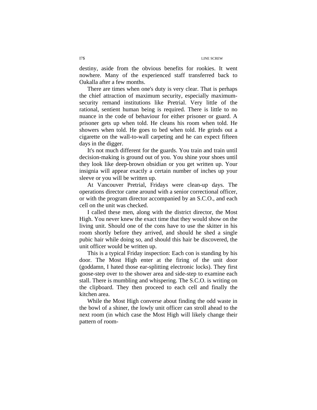destiny, aside from the obvious benefits for rookies. It went nowhere. Many of the experienced staff transferred back to Oakalla after a few months.

There are times when one's duty is very clear. That is perhaps the chief attraction of maximum security, especially maximumsecurity remand institutions like Pretrial. Very little of the rational, sentient human being is required. There is little to no nuance in the code of behaviour for either prisoner or guard. A prisoner gets up when told. He cleans his room when told. He showers when told. He goes to bed when told. He grinds out a cigarette on the wall-to-wall carpeting and he can expect fifteen days in the digger.

It's not much different for the guards. You train and train until decision-making is ground out of you. You shine your shoes until they look like deep-brown obsidian or you get written up. Your insignia will appear exactly a certain number of inches up your sleeve or you will be written up.

At Vancouver Pretrial, Fridays were clean-up days. The operations director came around with a senior correctional officer, or with the program director accompanied by an S.C.O., and each cell on the unit was checked.

I called these men, along with the district director, the Most High. You never knew the exact time that they would show on the living unit. Should one of the cons have to use the skitter in his room shortly before they arrived, and should he shed a single pubic hair while doing so, and should this hair be discovered, the unit officer would be written up.

This is a typical Friday inspection: Each con is standing by his door. The Most High enter at the firing of the unit door (goddamn, I hated those ear-splitting electronic locks). They first goose-step over to the shower area and side-step to examine each stall. There is mumbling and whispering. The S.C.O. is writing on the clipboard. They then proceed to each cell and finally the kitchen area.

While the Most High converse about finding the odd waste in the bowl of a shiner, the lowly unit officer can stroll ahead to the next room (in which case the Most High will likely change their pattern of room-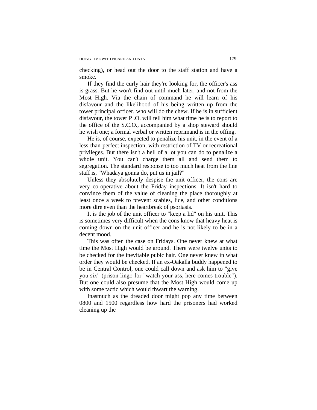checking), or head out the door to the staff station and have a smoke.

 If they find the curly hair they're looking for, the officer's ass is grass. But he won't find out until much later, and not from the Most High. Via the chain of command he will learn of his disfavour and the likelihood of his being written up from the tower principal officer, who will do the chew. If he is in sufficient disfavour, the tower P .O. will tell him what time he is to report to the office of the S.C.O., accompanied by a shop steward should he wish one; a formal verbal or written reprimand is in the offing.

He is, of course, expected to penalize his unit, in the event of a less-than-perfect inspection, with restriction of TV or recreational privileges. But there isn't a hell of a lot you can do to penalize a whole unit. You can't charge them all and send them to segregation. The standard response to too much heat from the line staff is, "Whadaya gonna do, put us in jail?"

Unless they absolutely despise the unit officer, the cons are very co-operative about the Friday inspections. It isn't hard to convince them of the value of cleaning the place thoroughly at least once a week to prevent scabies, lice, and other conditions more dire even than the heartbreak of psoriasis.

It is the job of the unit officer to "keep a lid" on his unit. This is sometimes very difficult when the cons know that heavy heat is coming down on the unit officer and he is not likely to be in a decent mood.

This was often the case on Fridays. One never knew at what time the Most High would be around. There were twelve units to be checked for the inevitable pubic hair. One never knew in what order they would be checked. If an ex-Oakalla buddy happened to be in Central Control, one could call down and ask him to "give you six" (prison lingo for "watch your ass, here comes trouble"). But one could also presume that the Most High would come up with some tactic which would thwart the warning.

Inasmuch as the dreaded door might pop any time between 0800 and 1500 regardless how hard the prisoners had worked cleaning up the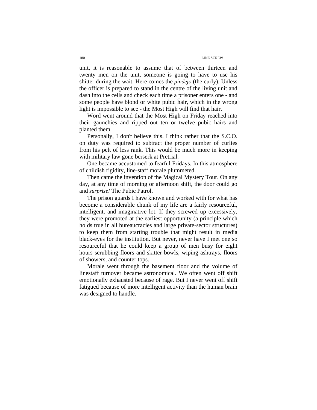unit, it is reasonable to assume that of between thirteen and twenty men on the unit, someone is going to have to use his shitter during the wait. Here comes the *pindejo* (the curly). Unless the officer is prepared to stand in the centre of the living unit and dash into the cells and check each time a prisoner enters one - and some people have blond or white pubic hair, which in the wrong light is impossible to see - the Most High will find that hair.

Word went around that the Most High on Friday reached into their gaunchies and ripped out ten or twelve pubic hairs and planted them.

Personally, I don't believe this. I think rather that the S.C.O. on duty was required to subtract the proper number of curlies from his pelt of less rank. This would be much more in keeping with military law gone berserk at Pretrial.

One became accustomed to fearful Fridays. In this atmosphere of childish rigidity, line-staff morale plummeted.

Then came the invention of the Magical Mystery Tour. On any day, at any time of morning or afternoon shift, the door could go and *surprise!* The Pubic Patrol.

The prison guards I have known and worked with for what has become a considerable chunk of my life are a fairly resourceful, intelligent, and imaginative lot. If they screwed up excessively, they were promoted at the earliest opportunity (a principle which holds true in all bureaucracies and large private-sector structures) to keep them from starting trouble that might result in media black-eyes for the institution. But never, never have I met one so resourceful that he could keep a group of men busy for eight hours scrubbing floors and skitter bowls, wiping ashtrays, floors of showers, and counter tops.

Morale went through the basement floor and the volume of linestaff turnover became astronomical. We often went off shift emotionally exhausted because of rage. But I never went off shift fatigued because of more intelligent activity than the human brain was designed to handle.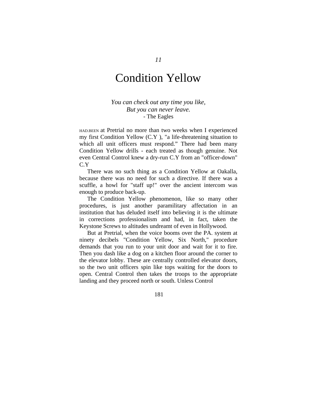# Condition Yellow

### *You can check out any time you like, But you can never leave.*  - The Eagles

HAD.BEEN at Pretrial no more than two weeks when I experienced my first Condition Yellow (C.Y ), "a life-threatening situation to which all unit officers must respond." There had been many Condition Yellow drills - each treated as though genuine. Not even Central Control knew a dry-run C.Y from an "officer-down" C.Y

There was no such thing as a Condition Yellow at Oakalla, because there was no need for such a directive. If there was a scuffle, a howl for "staff up!" over the ancient intercom was enough to produce back-up.

The Condition Yellow phenomenon, like so many other procedures, is just another paramilitary affectation in an institution that has deluded itself into believing it is the ultimate in corrections professionalism and had, in fact, taken the Keystone Screws to altitudes undreamt of even in Hollywood.

But at Pretrial, when the voice booms over the PA. system at ninety decibels "Condition Yellow, Six North," procedure demands that you run to your unit door and wait for it to fire. Then you dash like a dog on a kitchen floor around the corner to the elevator lobby. These are centrally controlled elevator doors, so the two unit officers spin like tops waiting for the doors to open. Central Control then takes the troops to the appropriate landing and they proceed north or south. Unless Control

181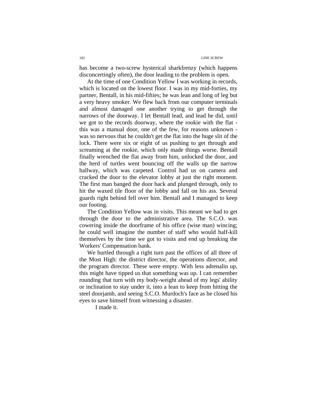has become a two-screw hysterical sharkfrenzy (which happens disconcertingly often), the door leading to the problem is open.

At the time of one Condition Yellow I was working in records, which is located on the lowest floor. I was in my mid-forties, my partner, Bentall, in his mid-fifties; he was lean and long of leg but a very heavy smoker. We flew back from our computer terminals and almost damaged one another trying to get through the narrows of the doorway. I let Bentall lead, and lead he did, until we got to the records doorway, where the rookie with the flat this was a manual door, one of the few, for reasons unknown was so nervous that he couldn't get the flat into the huge slit of the lock. There were six or eight of us pushing to get through and screaming at the rookie, which only made things worse. Bentall finally wrenched the flat away from him, unlocked the door, and the herd of turtles went bouncing off the walls up the narrow hallway, which was carpeted. Control had us on camera and cracked the door to the elevator lobby at just the right moment. The first man banged the door back and plunged through, only to hit the waxed tile floor of the lobby and fall on his ass. Several guards right behind fell over him. Bentall and I managed to keep our footing.

The Condition Yellow was in visits. This meant we had to get through the door to the administrative area. The S.C.O. was cowering inside the doorframe of his office (wise man) wincing; he could well imagine the number of staff who would half-kill themselves by the time we got to visits and end up breaking the Workers' Compensation bank.

We hurtled through a right turn past the offices of all three of the Most High: the district director, the operations director, and the program director. These were empty. With less adrenalin up, this might have tipped us that something was up. I can remember rounding that turn with my body-weight ahead of my legs' ability or inclination to stay under it, into a lean to keep from hitting the steel doorjamb, and seeing S.C.O. Murdoch's face as he closed his eyes to save himself from witnessing a disaster.

I made it.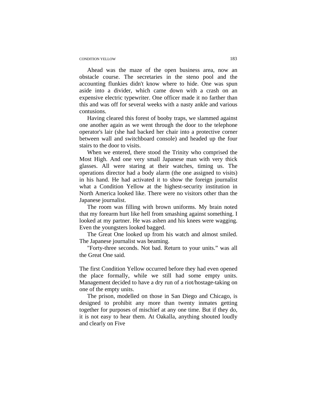#### CONDITION YELLOW 183

Ahead was the maze of the open business area, now an obstacle course. The secretaries in the steno pool and the accounting flunkies didn't know where to hide. One was spun aside into a divider, which came down with a crash on an expensive electric typewriter. One officer made it no farther than this and was off for several weeks with a nasty ankle and various contusions.

Having cleared this forest of booby traps, we slammed against one another again as we went through the door to the telephone operator's lair (she had backed her chair into a protective corner between wall and switchboard console) and headed up the four stairs to the door to visits.

When we entered, there stood the Trinity who comprised the Most High. And one very small Japanese man with very thick glasses. All were staring at their watches, timing us. The operations director had a body alarm (the one assigned to visits) in his hand. He had activated it to show the foreign journalist what a Condition Yellow at the highest-security institution in North America looked like. There were no visitors other than the Japanese journalist.

The room was filling with brown uniforms. My brain noted that my forearm hurt like hell from smashing against something. I looked at my partner. He was ashen and his knees were wagging. Even the youngsters looked bagged.

The Great One looked up from his watch and almost smiled. The Japanese journalist was beaming.

"Forty-three seconds. Not bad. Return to your units." was all the Great One said.

The first Condition Yellow occurred before they had even opened the place formally, while we still had some empty units. Management decided to have a dry run of a riot/hostage-taking on one of the empty units.

The prison, modelled on those in San Diego and Chicago, is designed to prohibit any more than twenty inmates getting together for purposes of mischief at any one time. But if they do, it is not easy to hear them. At Oakalla, anything shouted loudly and clearly on Five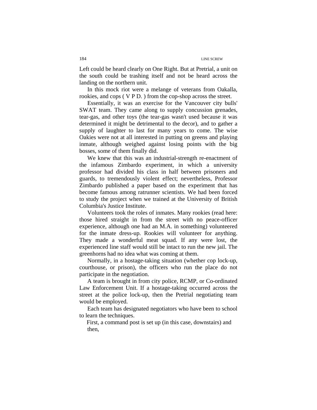Left could be heard clearly on One Right. But at Pretrial, a unit on the south could be trashing itself and not be heard across the landing on the northern unit.

In this mock riot were a melange of veterans from Oakalla, rookies, and cops ( V P D. ) from the cop-shop across the street.

Essentially, it was an exercise for the Vancouver city bulls' SWAT team. They came along to supply concussion grenades, tear-gas, and other toys (the tear-gas wasn't used because it was determined it might be detrimental to the decor), and to gather a supply of laughter to last for many years to come. The wise Oakies were not at all interested in putting on greens and playing inmate, although weighed against losing points with the big bosses, some of them finally did.

We knew that this was an industrial-strength re-enactment of the infamous Zimbardo experiment, in which a university professor had divided his class in half between prisoners and guards, to tremendously violent effect; nevertheless, Professor Zimbardo published a paper based on the experiment that has become famous among ratrunner scientists. We had been forced to study the project when we trained at the University of British Columbia's Justice Institute.

Volunteers took the roles of inmates. Many rookies (read here: those hired straight in from the street with no peace-officer experience, although one had an M.A. in something) volunteered for the inmate dress-up. Rookies will volunteer for anything. They made a wonderful meat squad. If any were lost, the experienced line staff would still be intact to run the new jail. The greenhorns had no idea what was coming at them.

Normally, in a hostage-taking situation (whether cop lock-up, courthouse, or prison), the officers who run the place do not participate in the negotiation.

A team is brought in from city police, RCMP, or Co-ordinated Law Enforcement Unit. If a hostage-taking occurred across the street at the police lock-up, then the Pretrial negotiating team would be employed.

Each team has designated negotiators who have been to school to learn the techniques.

First, a command post is set up (in this case, downstairs) and then,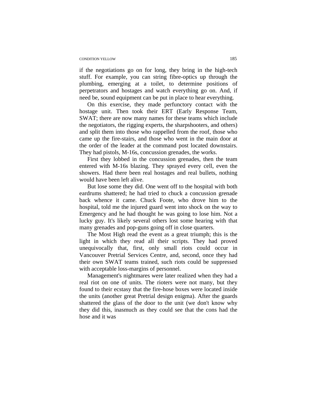#### CONDITION YELLOW 185

if the negotiations go on for long, they bring in the high-tech stuff. For example, you can string fibre-optics up through the plumbing, emerging at a toilet, to determine positions of perpetrators and hostages and watch everything go on. And, if need be, sound equipment can be put in place to hear everything.

On this exercise, they made perfunctory contact with the hostage unit. Then took their ERT (Early Response Team, SWAT; there are now many names for these teams which include the negotiators, the rigging experts, the sharpshooters, and others) and split them into those who rappelled from the roof, those who came up the fire-stairs, and those who went in the main door at the order of the leader at the command post located downstairs. They had pistols, M-16s, concussion grenades, the works.

First they lobbed in the concussion grenades, then the team entered with M-16s blazing. They sprayed every cell, even the showers. Had there been real hostages and real bullets, nothing would have been left alive.

But lose some they did. One went off to the hospital with both eardrums shattered; he had tried to chuck a concussion grenade back whence it came. Chuck Foote, who drove him to the hospital, told me the injured guard went into shock on the way to Emergency and he had thought he was going to lose him. Not a lucky guy. It's likely several others lost some hearing with that many grenades and pop-guns going off in close quarters.

The Most High read the event as a great triumph; this is the light in which they read all their scripts. They had proved unequivocally that, first, only small riots could occur in Vancouver Pretrial Services Centre, and, second, once they had their own SWAT teams trained, such riots could be suppressed with acceptable loss-margins of personnel.

Management's nightmares were later realized when they had a real riot on one of units. The rioters were not many, but they found to their ecstasy that the fire-hose boxes were located inside the units (another great Pretrial design enigma). After the guards shattered the glass of the door to the unit (we don't know why they did this, inasmuch as they could see that the cons had the hose and it was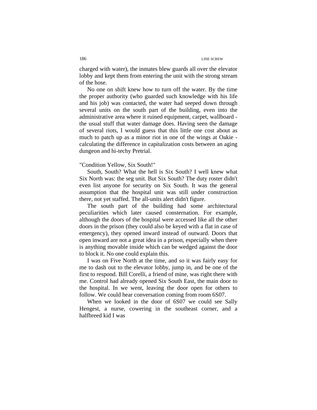charged with water), the inmates blew guards all over the elevator lobby and kept them from entering the unit with the strong stream of the hose.

No one on shift knew how to turn off the water. By the time the proper authority (who guarded such knowledge with his life and his job) was contacted, the water had seeped down through several units on the south part of the building, even into the administrative area where it ruined equipment, carpet, wallboard the usual stuff that water damage does. Having seen the damage of several riots, I would guess that this little one cost about as much to patch up as a minor riot in one of the wings at Oakie calculating the difference in capitalization costs between an aging dungeon and hi-techy Pretrial.

### "Condition Yellow, Six South!"

South, South? What the hell is Six South? I well knew what Six North was: the seg unit. But Six South? The duty roster didn't even list anyone for security on Six South. It was the general assumption that the hospital unit was still under construction there, not yet staffed. The all-units alert didn't figure.

The south part of the building had some architectural peculiarities which later caused consternation. For example, although the doors of the hospital were accessed like all the other doors in the prison (they could also be keyed with a flat in case of emergency), they opened inward instead of outward. Doors that open inward are not a great idea in a prison, especially when there is anything movable inside which can be wedged against the door to block it. No one could explain this.

I was on Five North at the time, and so it was fairly easy for me to dash out to the elevator lobby, jump in, and be one of the first to respond. Bill Corelli, a friend of mine, was right there with me. Control had already opened Six South East, the main door to the hospital. In we went, leaving the door open for others to follow. We could hear conversation coming from room 6S07.

When we looked in the door of 6S07 we could see Sally Hengest, a nurse, cowering in the southeast corner, and a halfbreed kid I was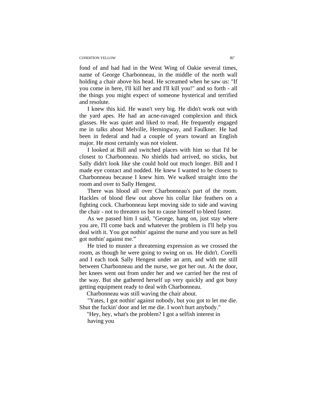#### CONDITION YELLOW IS7

fond of and had had in the West Wing of Oakie several times, name of George Charbonneau, in the middle of the north wall holding a chair above his head. He screamed when he saw us: "If you come in here, I'll kill her and I'll kill you!" and so forth - all the things you might expect of someone hysterical and terrified and resolute.

I knew this kid. He wasn't very big. He didn't work out with the yard apes. He had an acne-ravaged complexion and thick glasses. He was quiet and liked to read. He frequently engaged me in talks about Melville, Hemingway, and Faulkner. He had been in federal and had a couple of years toward an English major. He most certainly was not violent.

I looked at Bill and switched places with him so that I'd be closest to Charbonneau. No shields had arrived, no sticks, but Sally didn't look like she could hold out much longer. Bill and I made eye contact and nodded. He knew I wanted to be closest to Charbonneau because I knew him. We walked straight into the room and over to Sally Hengest.

There was blood all over Charbonneau's part of the room. Hackles of blood flew out above his collar like feathers on a fighting cock. Charbonneau kept moving side to side and waving the chair - not to threaten us but to cause himself to bleed faster.

As we passed him I said, "George, hang on, just stay where you are, I'll come back and whatever the problem is I'll help you deal with it. You got nothin' against the nurse and you sure as hell got nothin' against me."

He tried to muster a threatening expression as we crossed the room, as though he were going to swing on us. He didn't. Corelli and I each took Sally Hengest under an arm, and with me still between Charbonneau and the nurse, we got her out. At the door, her knees went out from under her and we carried her the rest of the way. But she gathered herself up very quickly and got busy getting equipment ready to deal with Charbonneau.

Charbonneau was still waving the chair about.

"Yates, I got nothin' against nobody, but you got to let me die. Shut the fuckin' door and let me die. I won't hurt anybody."

"Hey, hey, what's the problem? I got a selfish interest in having you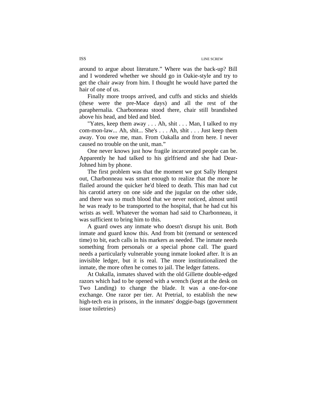around to argue about literature." Where was the back-up? Bill and I wondered whether we should go in Oakie-style and try to get the chair away from him. I thought he would have parted the hair of one of us.

Finally more troops arrived, and cuffs and sticks and shields (these were the pre-Mace days) and all the rest of the paraphernalia. Charbonneau stood there, chair still brandished above his head, and bled and bled.

"Yates, keep them away . . . Ah, shit . . . Man, I talked to my com-mon-law... Ah, shit... She's . . . Ah, shit . . . Just keep them away. You owe me, man. From Oakalla and from here. I never caused no trouble on the unit, man."

One never knows just how fragile incarcerated people can be. Apparently he had talked to his girlfriend and she had Dear-Johned him by phone.

The first problem was that the moment we got Sally Hengest out, Charbonneau was smart enough to realize that the more he flailed around the quicker he'd bleed to death. This man had cut his carotid artery on one side and the jugular on the other side, and there was so much blood that we never noticed, almost until he was ready to be transported to the hospital, that he had cut his wrists as well. Whatever the woman had said to Charbonneau, it was sufficient to bring him to this.

A guard owes any inmate who doesn't disrupt his unit. Both inmate and guard know this. And from bit (remand or sentenced time) to bit, each calls in his markers as needed. The inmate needs something from personals or a special phone call. The guard needs a particularly vulnerable young inmate looked after. It is an invisible ledger, but it is real. The more institutionalized the inmate, the more often he comes to jail. The ledger fattens.

At Oakalla, inmates shaved with the old Gillette double-edged razors which had to be opened with a wrench (kept at the desk on Two Landing) to change the blade. It was a one-for-one exchange. One razor per tier. At Pretrial, to establish the new high-tech era in prisons, in the inmates' doggie-bags (government issue toiletries)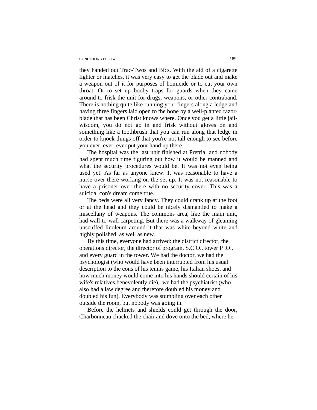#### CONDITION YELLOW 189

they handed out Trac-Twos and Bics. With the aid of a cigarette lighter or matches, it was very easy to get the blade out and make a weapon out of it for purposes of homicide or to cut your own throat. Or to set up booby traps for guards when they came around to frisk the unit for drugs, weapons, or other contraband. There is nothing quite like running your fingers along a ledge and having three fingers laid open to the bone by a well-planted razorblade that has been Christ knows where. Once you get a little jailwisdom, you do not go in and frisk without gloves on and something like a toothbrush that you can run along that ledge in order to knock things off that you're not tall enough to see before you ever, ever, ever put your hand up there.

The hospital was the last unit finished at Pretrial and nobody had spent much time figuring out how it would be manned and what the security procedures would be. It was not even being used yet. As far as anyone knew. It was reasonable to have a nurse over there working on the set-up. It was not reasonable to have a prisoner over there with no security cover. This was a suicidal con's dream come true.

The beds were all very fancy. They could crank up at the foot or at the head and they could be nicely dismantled to make a miscellany of weapons. The commons area, like the main unit, had wall-to-wall carpeting. But there was a walkway of gleaming unscuffed linoleum around it that was white beyond white and highly polished, as well as new.

 By this time, everyone had arrived: the district director, the operations director, the director of program, S.C.O., tower P .O., and every guard in the tower. We had the doctor, we had the psychologist (who would have been interrupted from his usual description to the cons of his tennis game, his Italian shoes, and how much money would come into his hands should certain of his wife's relatives benevolently die), we had the psychiatrist (who also had a law degree and therefore doubled his money and doubled his fun). Everybody was stumbling over each other outside the room, but nobody was going in.

Before the helmets and shields could get through the door, Charbonneau chucked the chair and dove onto the bed, where he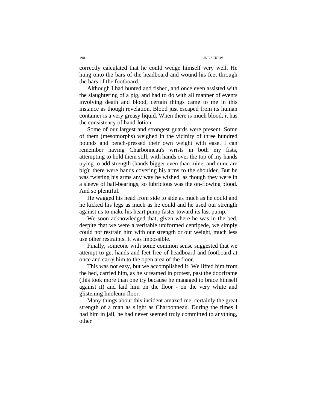correctly calculated that he could wedge himself very well. He hung onto the bars of the headboard and wound his feet through the bars of the footboard.

Although I had hunted and fished, and once even assisted with the slaughtering of a pig, and had to do with all manner of events involving death and blood, certain things came to me in this instance as though revelation. Blood just escaped from its human container is a very greasy liquid. When there is much blood, it has the consistency of hand-lotion.

Some of our largest and strongest guards were present. Some of them (mesomorphs) weighed in the vicinity of three hundred pounds and bench-pressed their own weight with ease. I can remember having Charbonneau's wrists in both my fists, attempting to hold them still, with hands over the top of my hands trying to add strength (hands bigger even than mine, and mine are big); there were hands covering his arms to the shoulder. But he was twisting his arms any way he wished, as though they were in a sleeve of ball-bearings, so lubricious was the on-flowing blood. And so plentiful.

He wagged his head from side to side as much as he could and he kicked his legs as much as he could and he used our strength against us to make his heart pump faster toward its last pump.

We soon acknowledged that, given where he was in the bed, despite that we were a veritable uniformed centipede, we simply could not restrain him with our strength or our weight, much less use other restraints. It was impossible.

Finally, someone with some common sense suggested that we attempt to get hands and feet free of headboard and footboard at once and carry him to the open area of the floor.

This was not easy, but we accomplished it. We lifted him from the bed, carried him, as he screamed in protest, past the doorframe (this took more than one try because he managed to brace himself against it) and laid him on the floor - on the very white and glistening linoleum floor.

Many things about this incident amazed me, certainly the great strength of a man as slight as Charbonneau. During the times I had him in jail, he had never seemed truly committed to anything, other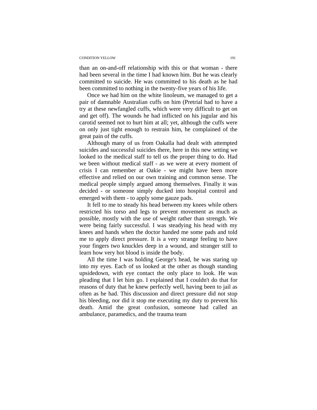#### CONDITION YELLOW 191

than an on-and-off relationship with this or that woman - there had been several in the time I had known him. But he was clearly committed to suicide. He was committed to his death as he had been committed to nothing in the twenty-five years of his life.

Once we had him on the white linoleum, we managed to get a pair of damnable Australian cuffs on him (Pretrial had to have a try at these newfangled cuffs, which were very difficult to get on and get off). The wounds he had inflicted on his jugular and his carotid seemed not to hurt him at all; yet, although the cuffs were on only just tight enough to restrain him, he complained of the great pain of the cuffs.

Although many of us from Oakalla had dealt with attempted suicides and successful suicides there, here in this new setting we looked to the medical staff to tell us the proper thing to do. Had we been without medical staff - as we were at every moment of crisis I can remember at Oakie - we might have been more effective and relied on our own training and common sense. The medical people simply argued among themselves. Finally it was decided - or someone simply ducked into hospital control and emerged with them - to apply some gauze pads.

It fell to me to steady his head between my knees while others restricted his torso and legs to prevent movement as much as possible, mostly with the use of weight rather than strength. We were being fairly successful. I was steadying his head with my knees and hands when the doctor handed me some pads and told me to apply direct pressure. It is a very strange feeling to have your fingers two knuckles deep in a wound, and stranger still to learn how very hot blood is inside the body.

All the time I was holding George's head, he was staring up into my eyes. Each of us looked at the other as though standing upsidedown, with eye contact the only place to look. He was pleading that I let him go. I explained that I couldn't do that for reasons of duty that he knew perfectly well, having been to jail as often as he had. This discussion and direct pressure did not stop his bleeding, nor did it stop me executing my duty to prevent his death. Amid the great confusion, someone had called an ambulance, paramedics, and the trauma team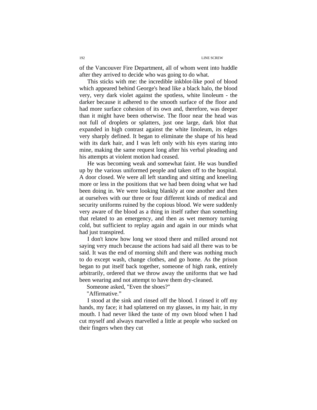of the Vancouver Fire Department, all of whom went into huddle after they arrived to decide who was going to do what.

This sticks with me: the incredible inkblot-like pool of blood which appeared behind George's head like a black halo, the blood very, very dark violet against the spotless, white linoleum - the darker because it adhered to the smooth surface of the floor and had more surface cohesion of its own and, therefore, was deeper than it might have been otherwise. The floor near the head was not full of droplets or splatters, just one large, dark blot that expanded in high contrast against the white linoleum, its edges very sharply defined. It began to eliminate the shape of his head with its dark hair, and I was left only with his eyes staring into mine, making the same request long after his verbal pleading and his attempts at violent motion had ceased.

He was becoming weak and somewhat faint. He was bundled up by the various uniformed people and taken off to the hospital. A door closed. We were all left standing and sitting and kneeling more or less in the positions that we had been doing what we had been doing in. We were looking blankly at one another and then at ourselves with our three or four different kinds of medical and security uniforms ruined by the copious blood. We were suddenly very aware of the blood as a thing in itself rather than something that related to an emergency, and then as wet memory turning cold, but sufficient to replay again and again in our minds what had just transpired.

I don't know how long we stood there and milled around not saying very much because the actions had said all there was to be said. It was the end of morning shift and there was nothing much to do except wash, change clothes, and go home. As the prison began to put itself back together, someone of high rank, entirely arbitrarily, ordered that we throw away the uniforms that we had been wearing and not attempt to have them dry-cleaned.

Someone asked, "Even the shoes?"

"Affirmative."

I stood at the sink and rinsed off the blood. I rinsed it off my hands, my face; it had splattered on my glasses, in my hair, in my mouth. I had never liked the taste of my own blood when I had cut myself and always marvelled a little at people who sucked on their fingers when they cut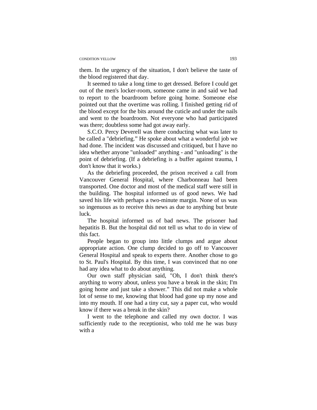#### CONDITION YELLOW 193

them. In the urgency of the situation, I don't believe the taste of the blood registered that day.

It seemed to take a long time to get dressed. Before I could get out of the men's locker-room, someone came in and said we had to report to the boardroom before going home. Someone else pointed out that the overtime was rolling. I finished getting rid of the blood except for the bits around the cuticle and under the nails and went to the boardroom. Not everyone who had participated was there; doubtless some had got away early.

S.C.O. Percy Deverell was there conducting what was later to be called a "debriefing." He spoke about what a wonderful job we had done. The incident was discussed and critiqued, but I have no idea whether anyone "unloaded" anything - and "unloading" is the point of debriefing. (If a debriefing is a buffer against trauma, I don't know that it works.)

As the debriefing proceeded, the prison received a call from Vancouver General Hospital, where Charbonneau had been transported. One doctor and most of the medical staff were still in the building. The hospital informed us of good news. We had saved his life with perhaps a two-minute margin. None of us was so ingenuous as to receive this news as due to anything but brute luck.

The hospital informed us of bad news. The prisoner had hepatitis B. But the hospital did not tell us what to do in view of this fact.

People began to group into little clumps and argue about appropriate action. One clump decided to go off to Vancouver General Hospital and speak to experts there. Another chose to go to St. Paul's Hospital. By this time, I was convinced that no one had any idea what to do about anything.

Our own staff physician said, "Oh, I don't think there's anything to worry about, unless you have a break in the skin; I'm going home and just take a shower." This did not make a whole lot of sense to me, knowing that blood had gone up my nose and into my mouth. If one had a tiny cut, say a paper cut, who would know if there was a break in the skin?

I went to the telephone and called my own doctor. I was sufficiently rude to the receptionist, who told me he was busy with a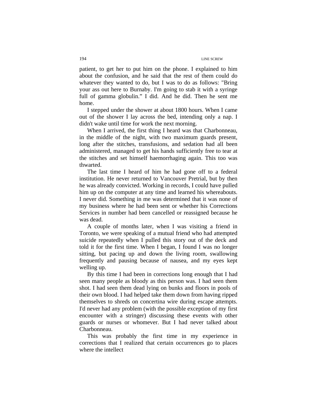patient, to get her to put him on the phone. I explained to him about the confusion, and he said that the rest of them could do whatever they wanted to do, but I was to do as follows: "Bring your ass out here to Burnaby. I'm going to stab it with a syringe full of gamma globulin." I did. And he did. Then he sent me home.

I stepped under the shower at about 1800 hours. When I came out of the shower I lay across the bed, intending only a nap. I didn't wake until time for work the next morning.

When I arrived, the first thing I heard was that Charbonneau, in the middle of the night, with two maximum guards present, long after the stitches, transfusions, and sedation had all been administered, managed to get his hands sufficiently free to tear at the stitches and set himself haemorrhaging again. This too was thwarted.

The last time I heard of him he had gone off to a federal institution. He never returned to Vancouver Pretrial, but by then he was already convicted. Working in records, I could have pulled him up on the computer at any time and learned his whereabouts. I never did. Something in me was determined that it was none of my business where he had been sent or whether his Corrections Services in number had been cancelled or reassigned because he was dead.

A couple of months later, when I was visiting a friend in Toronto, we were speaking of a mutual friend who had attempted suicide repeatedly when I pulled this story out of the deck and told it for the first time. When I began, I found I was no longer sitting, but pacing up and down the living room, swallowing frequently and pausing because of nausea, and my eyes kept welling up.

By this time I had been in corrections long enough that I had seen many people as bloody as this person was. I had seen them shot. I had seen them dead lying on bunks and floors in pools of their own blood. I had helped take them down from having ripped themselves to shreds on concertina wire during escape attempts. I'd never had any problem (with the possible exception of my first encounter with a stringer) discussing these events with other guards or nurses or whomever. But I had never talked about Charbonneau.

This was probably the first time in my experience in corrections that I realized that certain occurrences go to places where the intellect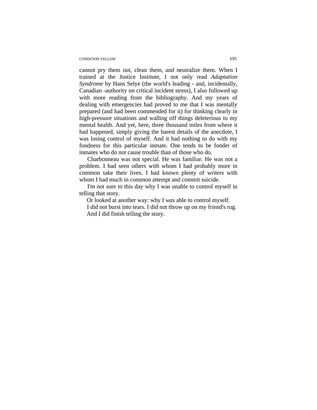#### CONDITION YELLOW 195

cannot pry them out, clean them, and neutralize them. When I trained at the Justice Institute, I not only read *Adaptation Syndrome* by Hans Selye (the world's leading - and, incidentally, Canadian -authority on critical incident stress), I also followed up with more reading from the bibliography. And my years of dealing with emergencies had proved to me that I was mentally prepared (and had been commended for it) for thinking clearly in high-pressure situations and walling off things deleterious to my mental health. And yet, here, three thousand miles from where it had happened, simply giving the barest details of the anecdote, I was losing control of myself. And it had nothing to do with my fondness for this particular inmate. One tends to be fonder of inmates who do not cause trouble than of those who do.

Charbonneau was not special. He was familiar. He was not a problem. I had seen others with whom I had probably more in common take their lives. I had known plenty of writers with whom I had much in common attempt and commit suicide.

I'm not sure to this day why I was unable to control myself in telling that story.

Or looked at another way: why I *was* able to control myself.

I did not burst into tears. I did not throw up on my friend's rug. And I did finish telling the story.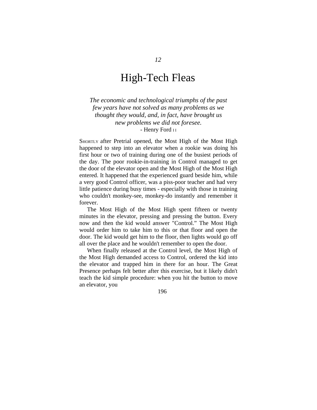### High-Tech Fleas

*The economic and technological triumphs of the past few years have not solved as many problems as we thought they would, and, in fact, have brought us new problems we did not foresee.*  - Henry Ford II

SHORTLY after Pretrial opened, the Most High of the Most High happened to step into an elevator when a rookie was doing his first hour or two of training during one of the busiest periods of the day. The poor rookie-in-training in Control managed to get the door of the elevator open and the Most High of the Most High entered. It happened that the experienced guard beside him, while a very good Control officer, was a piss-poor teacher and had very little patience during busy times - especially with those in training who couldn't monkey-see, monkey-do instantly and remember it forever.

The Most High of the Most High spent fifteen or twenty minutes in the elevator, pressing and pressing the button. Every now and then the kid would answer "Control." The Most High would order him to take him to this or that floor and open the door. The kid would get him to the floor, then lights would go off all over the place and he wouldn't remember to open the door.

When finally released at the Control level, the Most High of the Most High demanded access to Control, ordered the kid into the elevator and trapped him in there for an hour. The Great Presence perhaps felt better after this exercise, but it likely didn't teach the kid simple procedure: when you hit the button to move an elevator, you

196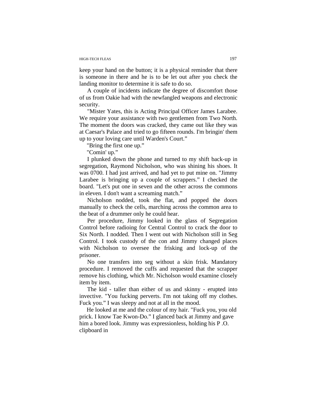#### HIGH-TECH FLEAS 197

keep your hand on the button; it is a physical reminder that there is someone in there and he is to be let out after you check the landing monitor to determine it is safe to do so.

A couple of incidents indicate the degree of discomfort those of us from Oakie had with the newfangled weapons and electronic security.

"Mister Yates, this is Acting Principal Officer James Larabee. We require your assistance with two gentlemen from Two North. The moment the doors was cracked, they came out like they was at Caesar's Palace and tried to go fifteen rounds. I'm bringin' them up to your loving care until Warden's Court."

"Bring the first one up."

"Comin' up."

I plunked down the phone and turned to my shift back-up in segregation, Raymond Nicholson, who was shining his shoes. It was 0700. I had just arrived, and had yet to put mine on. "Jimmy Larabee is bringing up a couple of scrappers." I checked the board. "Let's put one in seven and the other across the commons in eleven. I don't want a screaming match."

Nicholson nodded, took the flat, and popped the doors manually to check the cells, marching across the common area to the beat of a drummer only he could hear.

Per procedure, Jimmy looked in the glass of Segregation Control before radioing for Central Control to crack the door to Six North. I nodded. Then I went out with Nicholson still in Seg Control. I took custody of the con and Jimmy changed places with Nicholson to oversee the frisking and lock-up of the prisoner.

No one transfers into seg without a skin frisk. Mandatory procedure. I removed the cuffs and requested that the scrapper remove his clothing, which Mr. Nicholson would examine closely item by item.

The kid - taller than either of us and skinny - erupted into invective. "You fucking perverts. I'm not taking off my clothes. Fuck you." I was sleepy and not at all in the mood.

He looked at me and the colour of my hair. "Fuck you, you old prick. I know Tae Kwon-Do." I glanced back at Jimmy and gave him a bored look. Jimmy was expressionless, holding his P .O. clipboard in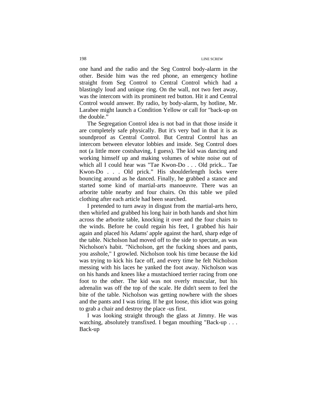one hand and the radio and the Seg Control body-alarm in the other. Beside him was the red phone, an emergency hotline straight from Seg Control to Central Control which had a blastingly loud and unique ring. On the wall, not two feet away, was the intercom with its prominent red button. Hit it and Central Control would answer. By radio, by body-alarm, by hotline, Mr. Larabee might launch a Condition Yellow or call for "back-up on the double."

The Segregation Control idea is not bad in that those inside it are completely safe physically. But it's very bad in that it is as soundproof as Central Control. But Central Control has an intercom between elevator lobbies and inside. Seg Control does not (a little more costshaving, I guess). The kid was dancing and working himself up and making volumes of white noise out of which all I could hear was "Tae Kwon-Do . . . Old prick... Tae Kwon-Do . . . Old prick." His shoulderlength locks were bouncing around as he danced. Finally, he grabbed a stance and started some kind of martial-arts manoeuvre. There was an arborite table nearby and four chairs. On this table we piled clothing after each article had been searched.

I pretended to turn away in disgust from the martial-arts hero, then whirled and grabbed his long hair in both hands and shot him across the arborite table, knocking it over and the four chairs to the winds. Before he could regain his feet, I grabbed his hair again and placed his Adams' apple against the hard, sharp edge of the table. Nicholson had moved off to the side to spectate, as was Nicholson's habit. "Nicholson, get the fucking shoes and pants, you asshole," I growled. Nicholson took his time because the kid was trying to kick his face off, and every time he felt Nicholson messing with his laces he yanked the foot away. Nicholson was on his hands and knees like a mustachioed terrier racing from one foot to the other. The kid was not overly muscular, but his adrenalin was off the top of the scale. He didn't seem to feel the bite of the table. Nicholson was getting nowhere with the shoes and the pants and I was tiring. If he got loose, this idiot was going to grab a chair and destroy the place -us first.

I was looking straight through the glass at Jimmy. He was watching, absolutely transfixed. I began mouthing "Back-up . . . Back-up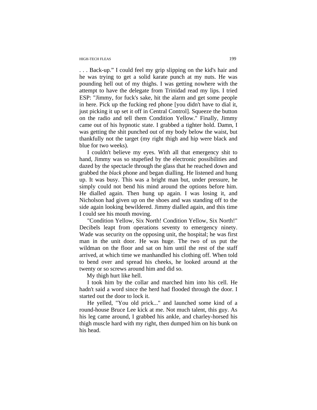#### HIGH-TECH FLEAS 199

. . . Back-up." I could feel my grip slipping on the kid's hair and he was trying to get a solid karate punch at my nuts. He was pounding hell out of my thighs. I was getting nowhere with the attempt to have the delegate from Trinidad read my lips. I tried ESP: "Jimmy, for fuck's sake, hit the alarm and get some people in here. Pick up the fucking red phone [you didn't have to dial it, just picking it up set it off in Central Control]. Squeeze the button on the radio and tell them Condition Yellow." Finally, Jimmy came out of his hypnotic state. I grabbed a tighter hold. Damn, I was getting the shit punched out of my body below the waist, but thankfully not the target (my right thigh and hip were black and blue for two weeks).

I couldn't believe my eyes. With all that emergency shit to hand, Jimmy was so stupefied by the electronic possibilities and dazed by the spectacle through the glass that he reached down and grabbed the *black* phone and began dialling. He listened and hung up. It was busy. This was a bright man but, under pressure, he simply could not bend his mind around the options before him. He dialled again. Then hung up again. I was losing it, and Nicholson had given up on the shoes and was standing off to the side again looking bewildered. Jimmy dialled again, and this time I could see his mouth moving.

"Condition Yellow, Six North! Condition Yellow, Six North!" Decibels leapt from operations seventy to emergency ninety. Wade was security on the opposing unit, the hospital; he was first man in the unit door. He was huge. The two of us put the wildman on the floor and sat on him until the rest of the staff arrived, at which time we manhandled his clothing off. When told to bend over and spread his cheeks, he looked around at the twenty or so screws around him and did so.

My thigh hurt like hell.

I took him by the collar and marched him into his cell. He hadn't said a word since the herd had flooded through the door. I started out the door to lock it.

He yelled, "You old prick..." and launched some kind of a round-house Bruce Lee kick at me. Not much talent, this guy. As his leg came around, I grabbed his ankle, and charley-horsed his thigh muscle hard with my right, then dumped him on his bunk on his head.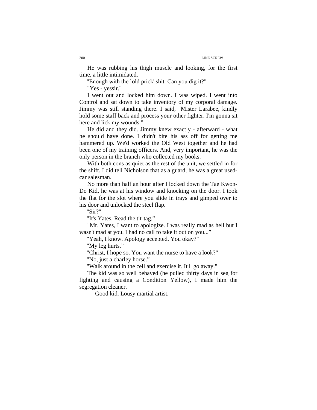He was rubbing his thigh muscle and looking, for the first time, a little intimidated.

"Enough with the `old prick' shit. Can you dig it?"

"Yes - yessir."

I went out and locked him down. I was wiped. I went into Control and sat down to take inventory of my corporal damage. Jimmy was still standing there. I said, "Mister Larabee, kindly hold some staff back and process your other fighter. I'm gonna sit here and lick my wounds."

He did and they did. Jimmy knew exactly - afterward - what he should have done. I didn't bite his ass off for getting me hammered up. We'd worked the Old West together and he had been one of my training officers. And, very important, he was the only person in the branch who collected my books.

With both cons as quiet as the rest of the unit, we settled in for the shift. I did tell Nicholson that as a guard, he was a great usedcar salesman.

No more than half an hour after I locked down the Tae Kwon-Do Kid, he was at his window and knocking on the door. I took the flat for the slot where you slide in trays and gimped over to his door and unlocked the steel flap.

"Sir?"

"It's Yates. Read the tit-tag."

"Mr. Yates, I want to apologize. I was really mad as hell but I wasn't mad at you. I had no call to take it out on you..."

"Yeah, I know. Apology accepted. You okay?"

"My leg hurts."

"Christ, I hope so. You want the nurse to have a look?"

"No, just a charley horse."

"Walk around in the cell and exercise it. It'll go away."

The kid was so well behaved (he pulled thirty days in seg for fighting and causing a Condition Yellow), I made him the segregation cleaner.

Good kid. Lousy martial artist.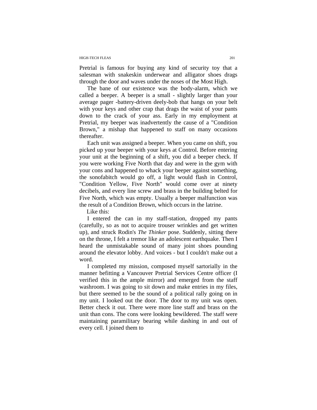#### HIGH-TECH FLEAS 201

Pretrial is famous for buying any kind of security toy that a salesman with snakeskin underwear and alligator shoes drags through the door and waves under the noses of the Most High.

The bane of our existence was the body-alarm, which we called a beeper. A beeper is a small - slightly larger than your average pager -battery-driven deely-bob that hangs on your belt with your keys and other crap that drags the waist of your pants down to the crack of your ass. Early in my employment at Pretrial, my beeper was inadvertently the cause of a "Condition Brown," a mishap that happened to staff on many occasions thereafter.

Each unit was assigned a beeper. When you came on shift, you picked up your beeper with your keys at Control. Before entering your unit at the beginning of a shift, you did a beeper check. If you were working Five North that day and were in the gym with your cons and happened to whack your beeper against something, the sonofabitch would go off, a light would flash in Control, "Condition Yellow, Five North" would come over at ninety decibels, and every line screw and brass in the building belted for Five North, which was empty. Usually a beeper malfunction was the result of a Condition Brown, which occurs in the latrine.

Like this:

I entered the can in my staff-station, dropped my pants (carefully, so as not to acquire trouser wrinkles and get written up), and struck Rodin's *The Thinker* pose. Suddenly, sitting there on the throne, I felt a tremor like an adolescent earthquake. Then I heard the unmistakable sound of many joint shoes pounding around the elevator lobby. And voices - but I couldn't make out a word.

I completed my mission, composed myself sartorially in the manner befitting a Vancouver Pretrial Services Centre officer (I verified this in the ample mirror) and emerged from the staff washroom. I was going to sit down and make entries in my files, but there seemed to be the sound of a political rally going on in my unit. I looked out the door. The door to my unit was open. Better check it out. There were more line staff and brass on the unit than cons. The cons were looking bewildered. The staff were maintaining paramilitary bearing while dashing in and out of every cell. I joined them to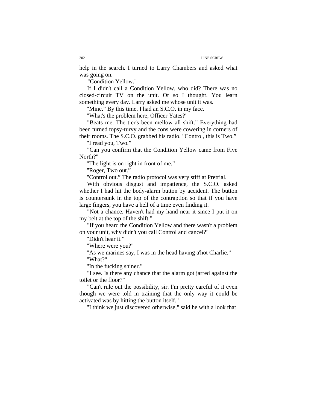help in the search. I turned to Larry Chambers and asked what was going on.

"Condition Yellow."

If I didn't call a Condition Yellow, who did? There was no closed-circuit TV on the unit. Or so I thought. You learn something every day. Larry asked me whose unit it was.

"Mine." By this time, I had an S.C.O. in my face.

"What's the problem here, Officer Yates?"

"Beats me. The tier's been mellow all shift." Everything had been turned topsy-turvy and the cons were cowering in corners of their rooms. The S.C.O. grabbed his radio. "Control, this is Two."

"I read you, Two."

"Can you confirm that the Condition Yellow came from Five North?"

"The light is on right in front of me."

"Roger, Two out."

"Control out." The radio protocol was very stiff at Pretrial.

With obvious disgust and impatience, the S.C.O. asked whether I had hit the body-alarm button by accident. The button is countersunk in the top of the contraption so that if you have large fingers, you have a hell of a time even finding it.

"Not a chance. Haven't had my hand near it since I put it on my belt at the top of the shift."

"If you heard the Condition Yellow and there wasn't a problem on your unit, why didn't you call Control and cancel?"

"Didn't hear it."

"Where were you?"

"As we marines say, I was in the head having a'hot Charlie."

"What?"

"In the fucking shiner."

"I see. Is there any chance that the alarm got jarred against the toilet or the floor?"

"Can't rule out the possibility, sir. I'm pretty careful of it even though we were told in training that the only way it could be activated was by hitting the button itself."

"I think we just discovered otherwise," said he with a look that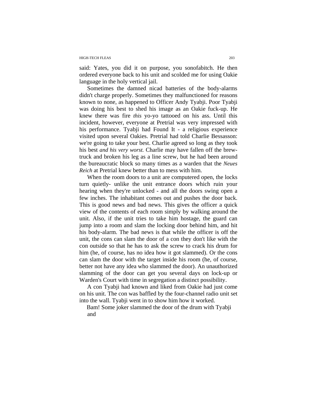#### HIGH-TECH FLEAS 203

said: Yates, you did it on purpose, you sonofabitch. He then ordered everyone back to his unit and scolded me for using Oakie language in the holy vertical jail.

Sometimes the damned nicad batteries of the body-alarms didn't charge properly. Sometimes they malfunctioned for reasons known to none, as happened to Officer Andy Tyabji. Poor Tyabji was doing his best to shed his image as an Oakie fuck-up. He knew there was fire *this* yo-yo tattooed on his ass. Until this incident, however, everyone at Pretrial was very impressed with his performance. Tyabii had Found It - a religious experience visited upon several Oakies. Pretrial had told Charlie Bessasson: we're going to take your best. Charlie agreed so long as they took his best *and his very worst.* Charlie may have fallen off the brewtruck and broken his leg as a line screw, but he had been around the bureaucratic block so many times as a warden that the *Neues Reich* at Pretrial knew better than to mess with him.

When the room doors to a unit are computered open, the locks turn quietly- unlike the unit entrance doors which ruin your hearing when they're unlocked - and all the doors swing open a few inches. The inhabitant comes out and pushes the door back. This is good news and bad news. This gives the officer a quick view of the contents of each room simply by walking around the unit. Also, if the unit tries to take him hostage, the guard can jump into a room and slam the locking door behind him, and hit his body-alarm. The bad news is that while the officer is off the unit, the cons can slam the door of a con they don't like with the con outside so that he has to ask the screw to crack his drum for him (he, of course, has no idea how it got slammed). Or the cons can slam the door with the target inside his room (he, of course, better not have any idea who slammed the door). An unauthorized slamming of the door can get you several days on lock-up or Warden's Court with time in segregation a distinct possibility.

A con Tyabji had known and liked from Oakie had just come on his unit. The con was baffled by the four-channel radio unit set into the wall. Tyabji went in to show him how it worked.

Bam! Some joker slammed the door of the drum with Tyabji and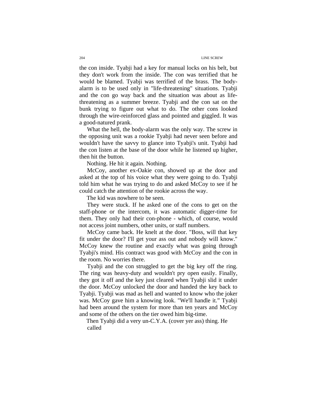the con inside. Tyabji had a key for manual locks on his belt, but they don't work from the inside. The con was terrified that he would be blamed. Tyabji was terrified of the brass. The bodyalarm is to be used only in "life-threatening" situations. Tyabji and the con go way back and the situation was about as lifethreatening as a summer breeze. Tyabji and the con sat on the bunk trying to figure out what to do. The other cons looked through the wire-reinforced glass and pointed and giggled. It was a good-natured prank.

What the hell, the body-alarm was the only way. The screw in the opposing unit was a rookie Tyabji had never seen before and wouldn't have the savvy to glance into Tyabji's unit. Tyabji had the con listen at the base of the door while he listened up higher, then hit the button.

Nothing. He hit it again. Nothing.

McCoy, another ex-Oakie con, showed up at the door and asked at the top of his voice what they were going to do. Tyabji told him what he was trying to do and asked McCoy to see if he could catch the attention of the rookie across the way.

The kid was nowhere to be seen.

They were stuck. If he asked one of the cons to get on the staff-phone or the intercom, it was automatic digger-time for them. They only had their con-phone - which, of course, would not access joint numbers, other units, or staff numbers.

McCoy came back. He knelt at the door. "Boss, will that key fit under the door? I'll get your ass out and nobody will know." McCoy knew the routine and exactly what was going through Tyabji's mind. His contract was good with McCoy and the con in the room. No worries there.

Tyabji and the con struggled to get the big key off the ring. The ring was heavy-duty and wouldn't pry open easily. Finally, they got it off and the key just cleared when Tyabji slid it under the door. McCoy unlocked the door and handed the key back to Tyabji. Tyabji was mad as hell and wanted to know who the joker was. McCoy gave him a knowing look. "We'll handle it." Tyabji had been around the system for more than ten years and McCoy and some of the others on the tier owed him big-time.

Then Tyabji did a very un-C.Y.A. (cover yer ass) thing. He called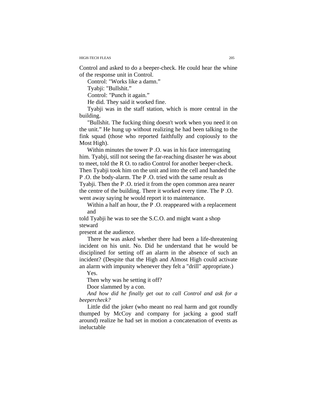Control and asked to do a beeper-check. He could hear the whine of the response unit in Control.

Control: "Works like a damn."

Tyabji: "Bullshit."

Control: "Punch it again."

He did. They said it worked fine.

Tyabji was in the staff station, which is more central in the building.

"Bullshit. The fucking thing doesn't work when you need it on the unit." He hung up without realizing he had been talking to the fink squad (those who reported faithfully and copiously to the Most High).

 Within minutes the tower P .O. was in his face interrogating him. Tyabji, still not seeing the far-reaching disaster he was about to meet, told the R O. to radio Control for another beeper-check. Then Tyabji took him on the unit and into the cell and handed the P .O. the body-alarm. The P .O. tried with the same result as

Tyabji. Then the P .O. tried it from the open common area nearer the centre of the building. There it worked every time. The P .O. went away saying he would report it to maintenance.

Within a half an hour, the P .O. reappeared with a replacement and

told Tyabji he was to see the S.C.O. and might want a shop steward

present at the audience.

There he was asked whether there had been a life-threatening incident on his unit. No. Did he understand that he would be disciplined for setting off an alarm in the absence of such an incident? (Despite that the High and Almost High could activate an alarm with impunity whenever they felt a "drill" appropriate.)

Yes.

Then why was he setting it off?

Door slammed by a con.

*And how did he finally get out to call Control and ask for a beepercheck?* 

Little did the joker (who meant no real harm and got roundly thumped by McCoy and company for jacking a good staff around) realize he had set in motion a concatenation of events as ineluctable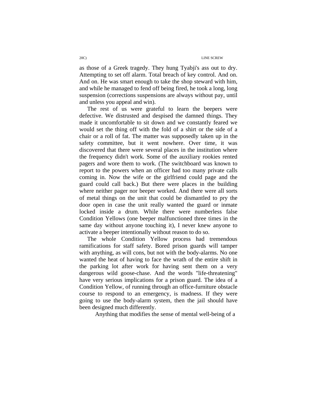as those of a Greek tragedy. They hung Tyabji's ass out to dry. Attempting to set off alarm. Total breach of key control. And on. And on. He was smart enough to take the shop steward with him, and while he managed to fend off being fired, he took a long, long suspension (corrections suspensions are always without pay, until and unless you appeal and win).

The rest of us were grateful to learn the beepers were defective. We distrusted and despised the damned things. They made it uncomfortable to sit down and we constantly feared we would set the thing off with the fold of a shirt or the side of a chair or a roll of fat. The matter was supposedly taken up in the safety committee, but it went nowhere. Over time, it was discovered that there were several places in the institution where the frequency didn't work. Some of the auxiliary rookies rented pagers and wore them to work. (The switchboard was known to report to the powers when an officer had too many private calls coming in. Now the wife or the girlfriend could page and the guard could call back.) But there were places in the building where neither pager nor beeper worked. And there were all sorts of metal things on the unit that could be dismantled to pry the door open in case the unit really wanted the guard or inmate locked inside a drum. While there were numberless false Condition Yellows (one beeper malfunctioned three times in the same day without anyone touching it), I never knew anyone to activate a beeper intentionally without reason to do so.

The whole Condition Yellow process had tremendous ramifications for staff safety. Bored prison guards will tamper with anything, as will cons, but not with the body-alarms. No one wanted the heat of having to face the wrath of the entire shift in the parking lot after work for having sent them on a very dangerous wild goose-chase. And the words "life-threatening" have very serious implications for a prison guard. The idea of a Condition Yellow, of running through an office-furniture obstacle course to respond to an emergency, is madness. If they were going to use the body-alarm system, then the jail should have been designed much differently.

Anything that modifies the sense of mental well-being of a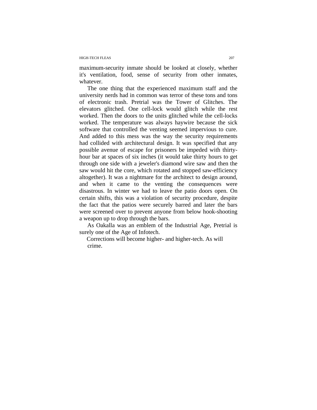### HIGH-TECH FLEAS 207

maximum-security inmate should be looked at closely, whether it's ventilation, food, sense of security from other inmates, whatever.

The one thing that the experienced maximum staff and the university nerds had in common was terror of these tons and tons of electronic trash. Pretrial was the Tower of Glitches. The elevators glitched. One cell-lock would glitch while the rest worked. Then the doors to the units glitched while the cell-locks worked. The temperature was always haywire because the sick software that controlled the venting seemed impervious to cure. And added to this mess was the way the security requirements had collided with architectural design. It was specified that any possible avenue of escape for prisoners be impeded with thirtyhour bar at spaces of six inches (it would take thirty hours to get through one side with a jeweler's diamond wire saw and then the saw would hit the core, which rotated and stopped saw-efficiency altogether). It was a nightmare for the architect to design around, and when it came to the venting the consequences were disastrous. In winter we had to leave the patio doors open. On certain shifts, this was a violation of security procedure, despite the fact that the patios were securely barred and later the bars were screened over to prevent anyone from below hook-shooting a weapon up to drop through the bars.

As Oakalla was an emblem of the Industrial Age, Pretrial is surely one of the Age of Infotech.

Corrections will become higher- and higher-tech. As will crime.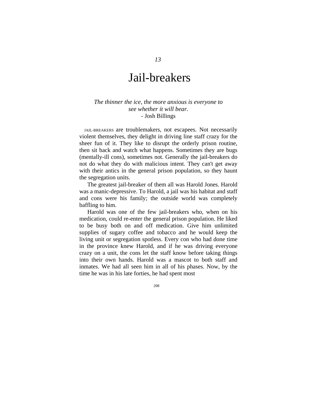# Jail-breakers

### *The thinner the ice, the more anxious is everyone to see whether it will bear.*  - Josh Billings

JAIL-BREAKERS are troublemakers, not escapees. Not necessarily violent themselves, they delight in driving line staff crazy for the sheer fun of it. They like to disrupt the orderly prison routine, then sit back and watch what happens. Sometimes they are bugs (mentally-ill cons), sometimes not. Generally the jail-breakers do not do what they do with malicious intent. They can't get away with their antics in the general prison population, so they haunt the segregation units.

The greatest jail-breaker of them all was Harold Jones. Harold was a manic-depressive. To Harold, a jail was his habitat and staff and cons were his family; the outside world was completely baffling to him.

Harold was one of the few jail-breakers who, when on his medication, could re-enter the general prison population. He liked to be busy both on and off medication. Give him unlimited supplies of sugary coffee and tobacco and he would keep the living unit or segregation spotless. Every con who had done time in the province knew Harold, and if he was driving everyone crazy on a unit, the cons let the staff know before taking things into their own hands. Harold was a mascot to both staff and inmates. We had all seen him in all of his phases. Now, by the time he was in his late forties, he had spent most

208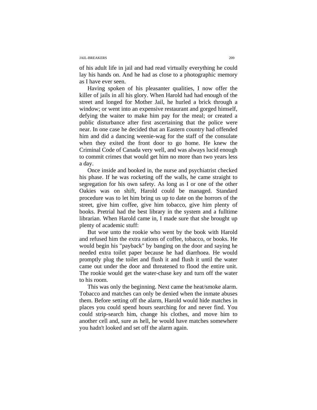#### JAIL-BREAKERS 209

of his adult life in jail and had read virtually everything he could lay his hands on. And he had as close to a photographic memory as I have ever seen.

Having spoken of his pleasanter qualities, I now offer the killer of jails in all his glory. When Harold had had enough of the street and longed for Mother Jail, he hurled a brick through a window; or went into an expensive restaurant and gorged himself, defying the waiter to make him pay for the meal; or created a public disturbance after first ascertaining that the police were near. In one case he decided that an Eastern country had offended him and did a dancing weenie-wag for the staff of the consulate when they exited the front door to go home. He knew the Criminal Code of Canada very well, and was always lucid enough to commit crimes that would get him no more than two years less a day.

Once inside and booked in, the nurse and psychiatrist checked his phase. If he was rocketing off the walls, he came straight to segregation for his own safety. As long as I or one of the other Oakies was on shift, Harold could be managed. Standard procedure was to let him bring us up to date on the horrors of the street, give him coffee, give him tobacco, give him plenty of books. Pretrial had the best library in the system and a fulltime librarian. When Harold came in, I made sure that she brought up plenty of academic stuff:

But woe unto the rookie who went by the book with Harold and refused him the extra rations of coffee, tobacco, or books. He would begin his "payback" by banging on the door and saying he needed extra toilet paper because he had diarrhoea. He would promptly plug the toilet and flush it and flush it until the water came out under the door and threatened to flood the entire unit. The rookie would get the water-chase key and turn off the water to his room.

This was only the beginning. Next came the heat/smoke alarm. Tobacco and matches can only be denied when the inmate abuses them. Before setting off the alarm, Harold would hide matches in places you could spend hours searching for and never find. You could strip-search him, change his clothes, and move him to another cell and, sure as hell, he would have matches somewhere you hadn't looked and set off the alarm again.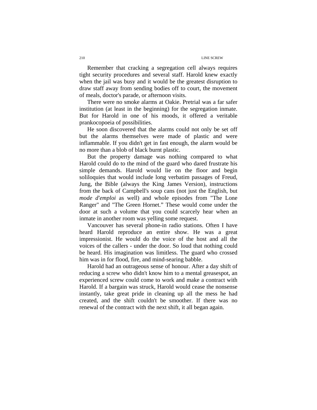Remember that cracking a segregation cell always requires tight security procedures and several staff. Harold knew exactly when the jail was busy and it would be the greatest disruption to draw staff away from sending bodies off to court, the movement of meals, doctor's parade, or afternoon visits.

There were no smoke alarms at Oakie. Pretrial was a far safer institution (at least in the beginning) for the segregation inmate. But for Harold in one of his moods, it offered a veritable prankocopoeia of possibilities.

He soon discovered that the alarms could not only be set off but the alarms themselves were made of plastic and were inflammable. If you didn't get in fast enough, the alarm would be no more than a blob of black burnt plastic.

But the property damage was nothing compared to what Harold could do to the mind of the guard who dared frustrate his simple demands. Harold would lie on the floor and begin soliloquies that would include long verbatim passages of Freud, Jung, the Bible (always the King James Version), instructions from the back of Campbell's soup cans (not just the English, but *mode d'emploi* as well) and whole episodes from "The Lone Ranger" and "The Green Hornet." These would come under the door at such a volume that you could scarcely hear when an inmate in another room was yelling some request.

Vancouver has several phone-in radio stations. Often I have heard Harold reproduce an entire show. He was a great impressionist. He would do the voice of the host and all the voices of the callers - under the door. So loud that nothing could be heard. His imagination was limitless. The guard who crossed him was in for flood, fire, and mind-searing babble.

Harold had an outrageous sense of honour. After a day shift of reducing a screw who didn't know him to a mental greasespot, an experienced screw could come to work and make a contract with Harold. If a bargain was struck, Harold would cease the nonsense instantly, take great pride in cleaning up all the mess he had created, and the shift couldn't be smoother. If there was no renewal of the contract with the next shift, it all began again.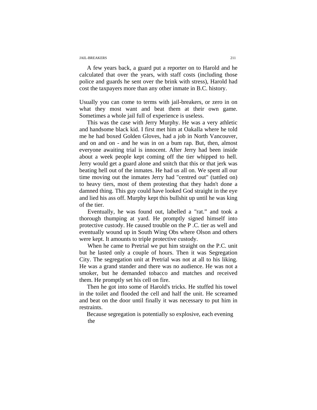#### JAIL-BREAKERS 211

A few years back, a guard put a reporter on to Harold and he calculated that over the years, with staff costs (including those police and guards he sent over the brink with stress), Harold had cost the taxpayers more than any other inmate in B.C. history.

Usually you can come to terms with jail-breakers, or zero in on what they most want and beat them at their own game. Sometimes a whole jail full of experience is useless.

This was the case with Jerry Murphy. He was a very athletic and handsome black kid. I first met him at Oakalla where he told me he had boxed Golden Gloves, had a job in North Vancouver, and on and on - and he was in on a bum rap. But, then, almost everyone awaiting trial is innocent. After Jerry had been inside about a week people kept coming off the tier whipped to hell. Jerry would get a guard alone and snitch that this or that jerk was beating hell out of the inmates. He had us all on. We spent all our time moving out the inmates Jerry had "centred out" (tattled on) to heavy tiers, most of them protesting that they hadn't done a damned thing. This guy could have looked God straight in the eye and lied his ass off. Murphy kept this bullshit up until he was king of the tier.

 Eventually, he was found out, labelled a "rat." and took a thorough thumping at yard. He promptly signed himself into protective custody. He caused trouble on the P .C. tier as well and eventually wound up in South Wing Obs where Olson and others were kept. It amounts to triple protective custody.

 When he came to Pretrial we put him straight on the P.C. unit but he lasted only a couple of hours. Then it was Segregation City. The segregation unit at Pretrial was not at all to his liking. He was a grand stander and there was no audience. He was not a smoker, but he demanded tobacco and matches and received them. He promptly set his cell on fire.

Then he got into some of Harold's tricks. He stuffed his towel in the toilet and flooded the cell and half the unit. He screamed and beat on the door until finally it was necessary to put him in restraints.

Because segregation is potentially so explosive, each evening the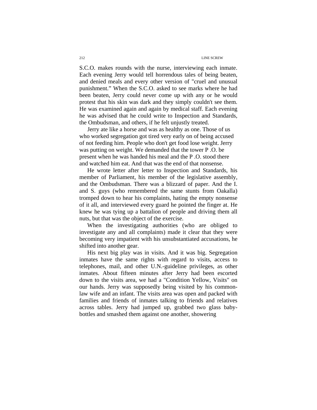#### 212 LINE SCREW

S.C.O. makes rounds with the nurse, interviewing each inmate. Each evening Jerry would tell horrendous tales of being beaten, and denied meals and every other version of "cruel and unusual punishment." When the S.C.O. asked to see marks where he had been beaten, Jerry could never come up with any or he would protest that his skin was dark and they simply couldn't see them. He was examined again and again by medical staff. Each evening he was advised that he could write to Inspection and Standards, the Ombudsman, and others, if he felt unjustly treated.

 Jerry ate like a horse and was as healthy as one. Those of us who worked segregation got tired very early on of being accused of not feeding him. People who don't get food lose weight. Jerry was putting on weight. We demanded that the tower P .O. be present when he was handed his meal and the P .O. stood there and watched him eat. And that was the end of that nonsense.

He wrote letter after letter to Inspection and Standards, his member of Parliament, his member of the legislative assembly, and the Ombudsman. There was a blizzard of paper. And the I. and S. guys (who remembered the same stunts from Oakalla) tromped down to hear his complaints, hating the empty nonsense of it all, and interviewed every guard he pointed the finger at. He knew he was tying up a battalion of people and driving them all nuts, but that was the object of the exercise.

When the investigating authorities (who are obliged to investigate any and all complaints) made it clear that they were becoming very impatient with his unsubstantiated accusations, he shifted into another gear.

His next big play was in visits. And it was big. Segregation inmates have the same rights with regard to visits, access to telephones, mail, and other U.N.-guideline privileges, as other inmates. About fifteen minutes after Jerry had been escorted down to the visits area, we had a "Condition Yellow, Visits" on our hands. Jerry was supposedly being visited by his commonlaw wife and an infant. The visits area was open and packed with families and friends of inmates talking to friends and relatives across tables. Jerry had jumped up, grabbed two glass babybottles and smashed them against one another, showering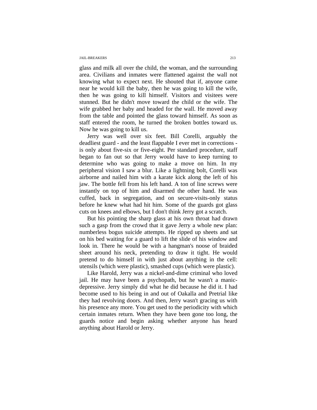#### JAIL-BREAKERS 213

glass and milk all over the child, the woman, and the surrounding area. Civilians and inmates were flattened against the wall not knowing what to expect next. He shouted that if, anyone came near he would kill the baby, then he was going to kill the wife, then he was going to kill himself. Visitors and visitees were stunned. But he didn't move toward the child or the wife. The wife grabbed her baby and headed for the wall. He moved away from the table and pointed the glass toward himself. As soon as staff entered the room, he turned the broken bottles toward us. Now he was going to kill us.

Jerry was well over six feet. Bill Corelli, arguably the deadliest guard - and the least flappable I ever met in corrections is only about five-six or five-eight. Per standard procedure, staff began to fan out so that Jerry would have to keep turning to determine who was going to make a move on him. In my peripheral vision I saw a blur. Like a lightning bolt, Corelli was airborne and nailed him with a karate kick along the left of his jaw. The bottle fell from his left hand. A ton of line screws were instantly on top of him and disarmed the other hand. He was cuffed, back in segregation, and on secure-visits-only status before he knew what had hit him. Some of the guards got glass cuts on knees and elbows, but I don't think Jerry got a scratch.

But his pointing the sharp glass at his own throat had drawn such a gasp from the crowd that it gave Jerry a whole new plan: numberless bogus suicide attempts. He ripped up sheets and sat on his bed waiting for a guard to lift the slide of his window and look in. There he would be with a hangman's noose of braided sheet around his neck, pretending to draw it tight. He would pretend to do himself in with just about anything in the cell: utensils (which were plastic), smashed cups (which were plastic).

Like Harold, Jerry was a nickel-and-dime criminal who loved jail. He may have been a psychopath, but he wasn't a manicdepressive. Jerry simply did what he did because he did it. I had become used to his being in and out of Oakalla and Pretrial like they had revolving doors. And then, Jerry wasn't gracing us with his presence any more. You get used to the periodicity with which certain inmates return. When they have been gone too long, the guards notice and begin asking whether anyone has heard anything about Harold or Jerry.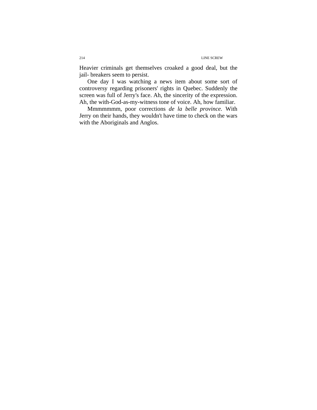Heavier criminals get themselves croaked a good deal, but the jail- breakers seem to persist.

One day I was watching a news item about some sort of controversy regarding prisoners' rights in Quebec. Suddenly the screen was full of Jerry's face. Ah, the sincerity of the expression. Ah, the with-God-as-my-witness tone of voice. Ah, how familiar.

Mmmmmmm, poor corrections *de la belle province.* With Jerry on their hands, they wouldn't have time to check on the wars with the Aboriginals and Anglos.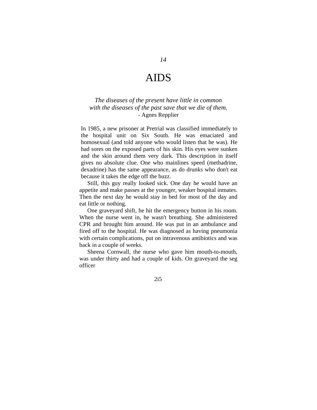# AIDS

### *The diseases of the present have little in common with the diseases of the past save that we die of them.*  - Agnes Repplier

 In 1985, a new prisoner at Pretrial was classified immediately to the hospital unit on Six South. He was emaciated and homosexual (and told anyone who would listen that he was). He had sores on the exposed parts of his skin. His eyes were sunken and the skin around them very dark. This description in itself gives no absolute clue. One who mainlines speed (methadrine, dexadrine) has the same appearance, as do drunks who don't eat because it takes the edge off the buzz.

Still, this guy really looked sick. One day he would have an appetite and make passes at the younger, weaker hospital inmates. Then the next day he would stay in bed for most of the day and eat little or nothing.

One graveyard shift, he hit the emergency button in his room. When the nurse went in, he wasn't breathing. She administered CPR and brought him around. He was put in an ambulance and fired off to the hospital. He was diagnosed as having pneumonia with certain complications, put on intravenous antibiotics and was back in a couple of weeks.

Sheena Cornwall, the nurse who gave him mouth-to-mouth, was under thirty and had a couple of kids. On graveyard the seg officer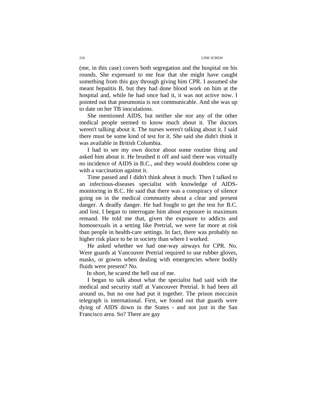#### 216 LINE SCREW

(me, in this case) covers both segregation and the hospital on his rounds. She expressed to me fear that she might have caught something from this guy through giving him CPR. I assumed she meant hepatitis B, but they had done blood work on him at the hospital and, while he had once had it, it was not active now. I pointed out that pneumonia is not communicable. And she was up to date on her TB inoculations.

She mentioned AIDS, but neither she nor any of the other medical people seemed to know much about it. The doctors weren't talking about it. The nurses weren't talking about it. I said there must be some kind of test for it. She said she didn't think it was available in British Columbia.

I had to see my own doctor about some routine thing and asked him about it. He brushed it off and said there was virtually no incidence of AIDS in B.C., and they would doubtless come up with a vaccination against it.

Time passed and I didn't think about it much. Then I talked to an infectious-diseases specialist with knowledge of AIDSmonitoring in B.C. He said that there was a conspiracy of silence going on in the medical community about a clear and present danger. A deadly danger. He had fought to get the test for B.C. and lost. I began to interrogate him about exposure in maximum remand. He told me that, given the exposure to addicts and homosexuals in a setting like Pretrial, we were far more at risk than people in health-care settings. In fact, there was probably no higher risk place to be in society than where I worked.

He asked whether we had one-way airways for CPR. No. Were guards at Vancouver Pretrial required to use rubber gloves, masks, or gowns when dealing with emergencies where bodily fluids were present? No.

In short, he scared the hell out of me.

I began to talk about what the specialist had said with the medical and security staff at Vancouver Pretrial. It had been all around us, but no one had put it together. The prison moccasin telegraph is international. First, we found out that guards were dying of AIDS down in the States - and not just in the San Francisco area. So? There are gay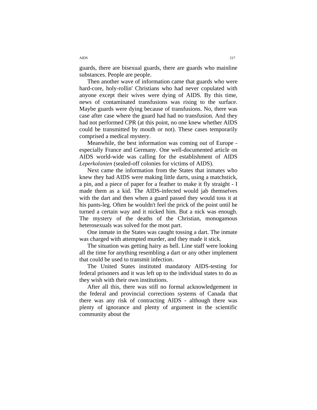guards, there are bisexual guards, there are guards who mainline substances. People are people.

Then another wave of information came that guards who were hard-core, holy-rollin' Christians who had never copulated with anyone except their wives were dying of AIDS. By this time, news of contaminated transfusions was rising to the surface. Maybe guards were dying because of transfusions. No, there was case after case where the guard had had no transfusion. And they had not performed CPR (at this point, no one knew whether AIDS could be transmitted by mouth or not). These cases temporarily comprised a medical mystery.

Meanwhile, the best information was coming out of Europe especially France and Germany. One well-documented article on AIDS world-wide was calling for the establishment of AIDS *Leperkolonien* (sealed-off colonies for victims of AIDS).

Next came the information from the States that inmates who knew they had AIDS were making little darts, using a matchstick, a pin, and a piece of paper for a feather to make it fly straight - I made them as a kid. The AIDS-infected would jab themselves with the dart and then when a guard passed they would toss it at his pants-leg. Often he wouldn't feel the prick of the point until he turned a certain way and it nicked him. But a nick was enough. The mystery of the deaths of the Christian, monogamous heterosexuals was solved for the most part.

One inmate in the States was caught tossing a dart. The inmate was charged with attempted murder, and they made it stick.

The situation was getting hairy as hell. Line staff were looking all the time for anything resembling a dart or any other implement that could be used to transmit infection.

The United States instituted mandatory AIDS-testing for federal prisoners and it was left up to the individual states to do as they wish with their own institutions.

After all this, there was still no formal acknowledgement in the federal and provincial corrections systems of Canada that there was any risk of contracting AIDS - although there was plenty of ignorance and plenty of argument in the scientific community about the

AIDS 217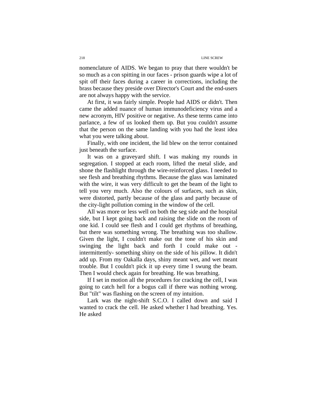nomenclature of AIDS. We began to pray that there wouldn't be so much as a con spitting in our faces - prison guards wipe a lot of spit off their faces during a career in corrections, including the brass because they preside over Director's Court and the end-users are not always happy with the service.

At first, it was fairly simple. People had AIDS or didn't. Then came the added nuance of human immunodeficiency virus and a new acronym, HIV positive or negative. As these terms came into parlance, a few of us looked them up. But you couldn't assume that the person on the same landing with you had the least idea what you were talking about.

Finally, with one incident, the lid blew on the terror contained just beneath the surface.

It was on a graveyard shift. I was making my rounds in segregation. I stopped at each room, lifted the metal slide, and shone the flashlight through the wire-reinforced glass. I needed to see flesh and breathing rhythms. Because the glass was laminated with the wire, it was very difficult to get the beam of the light to tell you very much. Also the colours of surfaces, such as skin, were distorted, partly because of the glass and partly because of the city-light pollution coming in the window of the cell.

All was more or less well on both the seg side and the hospital side, but I kept going back and raising the slide on the room of one kid. I could see flesh and I could get rhythms of breathing, but there was something wrong. The breathing was too shallow. Given the light, I couldn't make out the tone of his skin and swinging the light back and forth I could make out intermittently- something shiny on the side of his pillow. It didn't add up. From my Oakalla days, shiny meant wet, and wet meant trouble. But I couldn't pick it up every time I swung the beam. Then I would check again for breathing. He was breathing.

If I set in motion all the procedures for cracking the cell, I was going to catch hell for a bogus call if there was nothing wrong. But "tilt" was flashing on the screen of my intuition.

Lark was the night-shift S.C.O. I called down and said I wanted to crack the cell. He asked whether I had breathing. Yes. He asked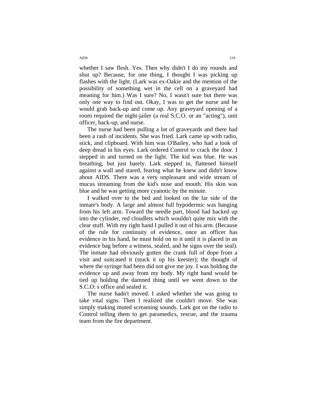whether I saw flesh. Yes. Then why didn't I do my rounds and shut up? Because, for one thing, I thought I was picking up flashes with the light. (Lark was ex-Oakie and the mention of the possibility of something wet in the cell on a graveyard had meaning for him.) Was I sure? No, I wasn't sure but there was only one way to find out. Okay, I was to get the nurse and he would grab back-up and come up. Any graveyard opening of a room required the night-jailer (a real S.C.O. or an "acting"), unit officer, back-up, and nurse.

The nurse had been pulling a lot of graveyards and there had been a rash of incidents. She was fried. Lark came up with radio, stick, and clipboard. With him was O'Bailey, who had a look of deep dread in his eyes. Lark ordered Control to crack the door. I stepped in and turned on the light. The kid was blue. He was breathing, but just barely. Lark stepped in, flattened himself against a wall and stared, fearing what he knew and didn't know about AIDS. There was a very unpleasant and wide stream of mucus streaming from the kid's nose and mouth. His skin was blue and he was getting more cyanotic by the minute.

I walked over to the bed and looked on the far side of the inmate's body. A large and almost full hypodermic was hanging from his left arm. Toward the needle part, blood had backed up into the cylinder, red cloudlets which wouldn't quite mix with the clear stuff. With my right hand I pulled it out of his arm. (Because of the rule for continuity of evidence, once an officer has evidence in his hand, he must hold on to it until it is placed in an evidence bag before a witness, sealed, and he signs over the seal). The inmate had obviously gotten the crank full of dope from a visit and suitcased it (stuck it up his keester); the thought of where the syringe had been did not give me joy. I was holding the evidence up and away from my body. My right hand would be tied up holding the damned thing until we went down to the S.C.O: s office and sealed it.

The nurse hadn't moved. I asked whether she was going to take vital signs. Then I realized she couldn't move. She was simply making muted screaming sounds. Lark got on the radio to Control telling them to get paramedics, rescue, and the trauma team from the fire department.

AIDS 219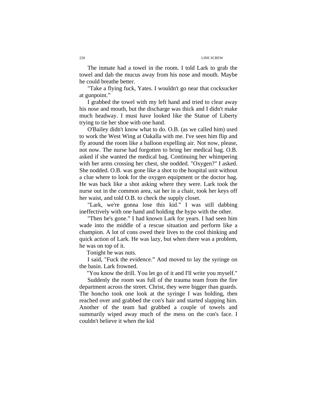#### 220 LINE SCREW

The inmate had a towel in the room. I told Lark to grab the towel and dab the mucus away from his nose and mouth. Maybe he could breathe better.

"Take a flying fuck, Yates. I wouldn't go near that cocksucker at gunpoint."

I grabbed the towel with my left hand and tried to clear away his nose and mouth, but the discharge was thick and I didn't make much headway. I must have looked like the Statue of Liberty trying to tie her shoe with one hand.

O'Bailey didn't know what to do. O.B. (as we called him) used to work the West Wing at Oakalla with me. I've seen him flip and fly around the room like a balloon expelling air. Not now, please, not now. The nurse had forgotten to bring her medical bag. O.B. asked if she wanted the medical bag. Continuing her whimpering with her arms crossing her chest, she nodded. "Oxygen?" I asked. She nodded. O.B. was gone like a shot to the hospital unit without a clue where to look for the oxygen equipment or the doctor bag. He was back like a shot asking where they were. Lark took the nurse out in the common area, sat her in a chair, took her keys off her waist, and told O.B. to check the supply closet.

"Lark, we're gonna lose this kid." I was still dabbing ineffectively with one hand and holding the hypo with the other.

"Then he's gone." I had known Lark for years. I had seen him wade into the middle of a rescue situation and perform like a champion. A lot of cons owed their lives to the cool thinking and quick action of Lark. He was lazy, but when there was a problem, he was on top of it.

Tonight he was nuts.

I said, "Fuck the evidence." And moved to lay the syringe on the basin. Lark frowned.

"You know the drill. You let go of it and I'll write you myself."

Suddenly the room was full of the trauma team from the fire department across the street. Christ, they were bigger than guards. The honcho took one look at the syringe I was holding, then reached over and grabbed the con's hair and started slapping him. Another of the team had grabbed a couple of towels and summarily wiped away much of the mess on the con's face. I couldn't believe it when the kid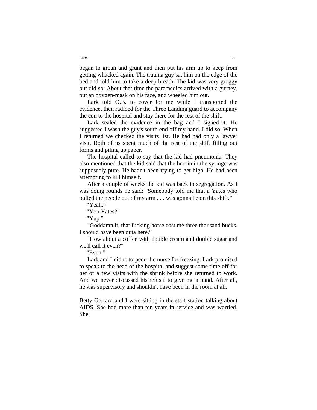began to groan and grunt and then put his arm up to keep from getting whacked again. The trauma guy sat him on the edge of the bed and told him to take a deep breath. The kid was very groggy but did so. About that time the paramedics arrived with a gurney, put an oxygen-mask on his face, and wheeled him out.

Lark told O.B. to cover for me while I transported the evidence, then radioed for the Three Landing guard to accompany the con to the hospital and stay there for the rest of the shift.

Lark sealed the evidence in the bag and I signed it. He suggested I wash the guy's south end off my hand. I did so. When I returned we checked the visits list. He had had only a lawyer visit. Both of us spent much of the rest of the shift filling out forms and piling up paper.

The hospital called to say that the kid had pneumonia. They also mentioned that the kid said that the heroin in the syringe was supposedly pure. He hadn't been trying to get high. He had been attempting to kill himself.

After a couple of weeks the kid was back in segregation. As I was doing rounds he said: "Somebody told me that a Yates who pulled the needle out of my arm . . . was gonna be on this shift."

"Yeah."

"You Yates?"

"Yup."

"Goddamn it, that fucking horse cost me three thousand bucks. I should have been outa here."

"How about a coffee with double cream and double sugar and we'll call it even?"

"Even."

Lark and I didn't torpedo the nurse for freezing. Lark promised to speak to the head of the hospital and suggest some time off for her or a few visits with the shrink before she returned to work. And we never discussed his refusal to give me a hand. After all, he was supervisory and shouldn't have been in the room at all.

Betty Gerrard and I were sitting in the staff station talking about AIDS. She had more than ten years in service and was worried. She

AIDS 221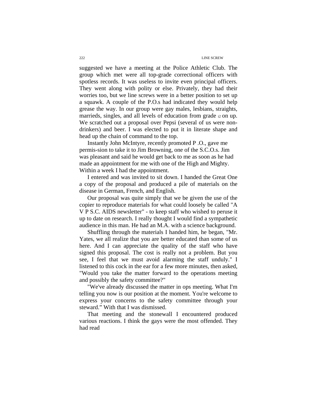suggested we have a meeting at the Police Athletic Club. The group which met were all top-grade correctional officers with spotless records. It was useless to invite even principal officers. They went along with polity or else. Privately, they had their worries too, but we line screws were in a better position to set up a squawk. A couple of the P.O.s had indicated they would help grease the way. In our group were gay males, lesbians, straights, marrieds, singles, and all levels of education from grade i2 on up. We scratched out a proposal over Pepsi (several of us were nondrinkers) and beer. I was elected to put it in literate shape and head up the chain of command to the top.

 Instantly John McIntyre, recently promoted P .O., gave me permis-sion to take it to Jim Browning, one of the S.C.O.s. Jim was pleasant and said he would get back to me as soon as he had made an appointment for me with one of the High and Mighty. Within a week I had the appointment.

I entered and was invited to sit down. I handed the Great One a copy of the proposal and produced a pile of materials on the disease in German, French, and English.

Our proposal was quite simply that we be given the use of the copier to reproduce materials for what could loosely be called "A V P S.C. AIDS newsletter" - to keep staff who wished to peruse it up to date on research. I really thought I would find a sympathetic audience in this man. He had an M.A. with a science background.

Shuffling through the materials I handed him, he began, "Mr. Yates, we all realize that you are better educated than some of us here. And I can appreciate the quality of the staff who have signed this proposal. The cost is really not a problem. But you see, I feel that we must avoid alarming the staff unduly." I listened to this cock in the ear for a few more minutes, then asked, "Would you take the matter forward to the operations meeting and possibly the safety committee?"

"We've already discussed the matter in ops meeting. What I'm telling you now is our position at the moment. You're welcome to express your concerns to the safety committee through your steward." With that I was dismissed.

That meeting and the stonewall I encountered produced various reactions. I think the gays were the most offended. They had read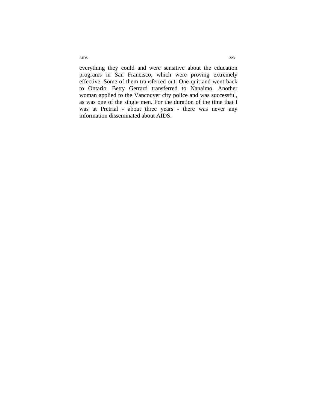everything they could and were sensitive about the education programs in San Francisco, which were proving extremely effective. Some of them transferred out. One quit and went back to Ontario. Betty Gerrard transferred to Nanaimo. Another woman applied to the Vancouver city police and was successful, as was one of the single men. For the duration of the time that I was at Pretrial - about three years - there was never any information disseminated about AIDS.

AIDS 223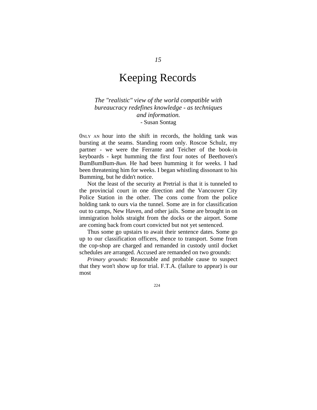## Keeping Records

*The "realistic" view of the world compatible with bureaucracy redefines knowledge - as techniques and information.*  - Susan Sontag

0NLY AN hour into the shift in records, the holding tank was bursting at the seams. Standing room only. Roscoe Schulz, my partner - we were the Ferrante and Teicher of the book-in keyboards - kept humming the first four notes of Beethoven's BumBumBum-*Bum.* He had been humming it for weeks. I had been threatening him for weeks. I began whistling dissonant to his Bumming, but he didn't notice.

Not the least of the security at Pretrial is that it is tunneled to the provincial court in one direction and the Vancouver City Police Station in the other. The cons come from the police holding tank to ours via the tunnel. Some are in for classification out to camps, New Haven, and other jails. Some are brought in on immigration holds straight from the docks or the airport. Some are coming back from court convicted but not yet sentenced.

Thus some go upstairs to await their sentence dates. Some go up to our classification officers, thence to transport. Some from the cop-shop are charged and remanded in custody until docket schedules are arranged. Accused are remanded on two grounds:

*Primary grounds:* Reasonable and probable cause to suspect that they won't show up for trial. F.T.A. (failure to appear) is our most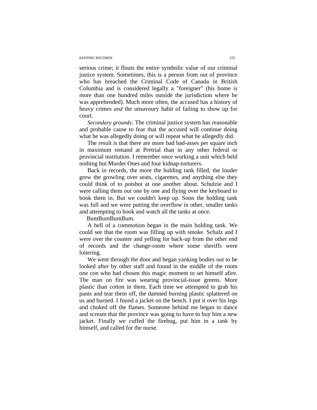#### KEEPING RECORDS 225

serious crime; it flouts the entire symbolic value of our criminal justice system. Sometimes, this is a person from out of province who has breached the Criminal Code of Canada in British Columbia and is considered legally a "foreigner" (his home is more than one hundred miles outside the jurisdiction where he was apprehended). Much more often, the accused has a history of heavy crimes *and* the unsavoury habit of failing to show up for court.

*Secondary grounds:* The criminal justice system has reasonable and probable cause to fear that the accused will continue doing what he was allegedly doing or will repeat what he allegedly did.

The result is that there are more bad bad-asses per square inch in maximum remand at Pretrial than in any other federal or provincial institution. I remember once working a unit which held nothing but Murder Ones and four kidnap-torturers.

Back in records, the more the holding tank filled, the louder grew the growling over seats, cigarettes, and anything else they could think of to potshot at one another about. Schulzie and I were calling them out one by one and flying over the keyboard to book them in. But we couldn't keep up. Soon the holding tank was full and we were putting the overflow in other, smaller tanks and attempting to book and watch all the tanks at once.

BumBumBum.

A hell of a commotion began in the main holding tank. We could see that the room was filling up with smoke. Schulz and I were over the counter and yelling for back-up from the other end of records and the change-room where some sheriffs were loitering.

We went through the door and began yanking bodies out to be looked after by other staff and found in the middle of the room one con who had chosen this magic moment to set himself afire. The man on fire was wearing provincial-issue greens. More plastic than cotton in them. Each time we attempted to grab his pants and tear them off, the damned burning plastic splattered on us and burned. I found a jacket on the bench. I put it over his legs and choked off the flames. Someone behind me began to dance and scream that the province was going to have to buy him a new jacket. Finally we cuffed the firebug, put him in a tank by himself, and called for the nurse.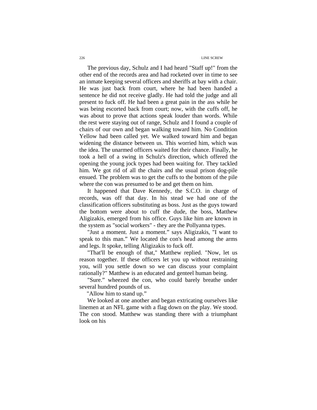#### 226 LINE SCREW

The previous day, Schulz and I had heard "Staff up!" from the other end of the records area and had rocketed over in time to see an inmate keeping several officers and sheriffs at bay with a chair. He was just back from court, where he had been handed a sentence he did not receive gladly. He had told the judge and all present to fuck off. He had been a great pain in the ass while he was being escorted back from court; now, with the cuffs off, he was about to prove that actions speak louder than words. While the rest were staying out of range, Schulz and I found a couple of chairs of our own and began walking toward him. No Condition Yellow had been called yet. We walked toward him and began widening the distance between us. This worried him, which was the idea. The unarmed officers waited for their chance. Finally, he took a hell of a swing in Schulz's direction, which offered the opening the young jock types had been waiting for. They tackled him. We got rid of all the chairs and the usual prison dog-pile ensued. The problem was to get the cuffs to the bottom of the pile where the con was presumed to be and get them on him.

It happened that Dave Kennedy, the S.C.O. in charge of records, was off that day. In his stead we had one of the classification officers substituting as boss. Just as the guys toward the bottom were about to cuff the dude, the boss, Matthew Aligizakis, emerged from his office. Guys like him are known in the system as "social workers" - they are the Pollyanna types.

"Just a moment. Just a moment." says Aligizakis, "I want to speak to this man." We located the con's head among the arms and legs. It spoke, telling Aligizakis to fuck off.

"That'll be enough of that," Matthew replied. "Now, let us reason together. If these officers let you up without restraining you, will you settle down so we can discuss your complaint rationally?" Matthew is an educated and genteel human being.

"Sure." wheezed the con, who could barely breathe under several hundred pounds of us.

"Allow him to stand up."

We looked at one another and began extricating ourselves like linemen at an NFL game with a flag down on the play. We stood. The con stood. Matthew was standing there with a triumphant look on his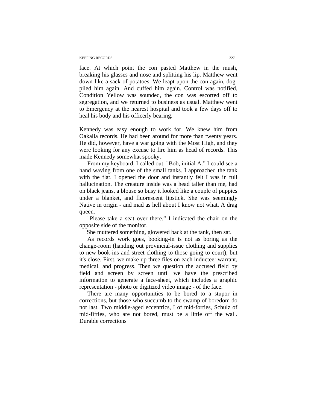#### KEEPING RECORDS 227

face. At which point the con pasted Matthew in the mush, breaking his glasses and nose and splitting his lip. Matthew went down like a sack of potatoes. We leapt upon the con again, dogpiled him again. And cuffed him again. Control was notified, Condition Yellow was sounded, the con was escorted off to segregation, and we returned to business as usual. Matthew went to Emergency at the nearest hospital and took a few days off to heal his body and his officerly bearing.

Kennedy was easy enough to work for. We knew him from Oakalla records. He had been around for more than twenty years. He did, however, have a war going with the Most High, and they were looking for any excuse to fire him as head of records. This made Kennedy somewhat spooky.

From my keyboard, I called out, "Bob, initial A." I could see a hand waving from one of the small tanks. I approached the tank with the flat. I opened the door and instantly felt I was in full hallucination. The creature inside was a head taller than me, had on black jeans, a blouse so busy it looked like a couple of puppies under a blanket, and fluorescent lipstick. She was seemingly Native in origin - and mad as hell about I know not what. A drag queen.

"Please take a seat over there." I indicated the chair on the opposite side of the monitor.

She muttered something, glowered back at the tank, then sat.

As records work goes, booking-in is not as boring as the change-room (handing out provincial-issue clothing and supplies to new book-ins and street clothing to those going to court), but it's close. First, we make up three files on each inductee: warrant, medical, and progress. Then we question the accused field by field and screen by screen until we have the prescribed information to generate a face-sheet, which includes a graphic representation - photo or digitized video image - of the face.

There are many opportunities to be bored to a stupor in corrections, but those who succumb to the swamp of boredom do not last. Two middle-aged eccentrics, I of mid-forties, Schulz of mid-fifties, who are not bored, must be a little off the wall. Durable corrections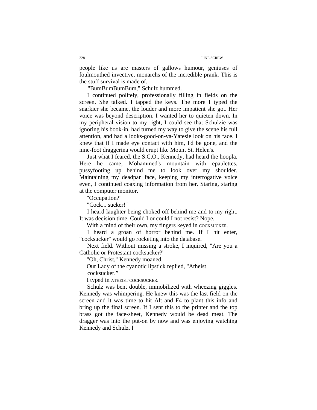people like us are masters of gallows humour, geniuses of foulmouthed invective, monarchs of the incredible prank. This is the stuff survival is made of.

"BumBumBum," Schulz hummed.

I continued politely, professionally filling in fields on the screen. She talked. I tapped the keys. The more I typed the snarkier she became, the louder and more impatient she got. Her voice was beyond description. I wanted her to quieten down. In my peripheral vision to my right, I could see that Schulzie was ignoring his book-in, had turned my way to give the scene his full attention, and had a looks-good-on-ya-Yatesie look on his face. I knew that if I made eye contact with him, I'd be gone, and the nine-foot draggerina would erupt like Mount St. Helen's.

Just what I feared, the S.C.O., Kennedy, had heard the hoopla. Here he came, Mohammed's mountain with epaulettes, pussyfooting up behind me to look over my shoulder. Maintaining my deadpan face, keeping my interrogative voice even, I continued coaxing information from her. Staring, staring at the computer monitor.

"Occupation?"

"Cock... sucker!"

I heard laughter being choked off behind me and to my right. It was decision time. Could I or could I not resist? Nope.

With a mind of their own, my fingers keyed in COCKSUCKER.

I heard a groan of horror behind me. If I hit enter, "cocksucker" would go rocketing into the database.

Next field. Without missing a stroke, I inquired, "Are you a Catholic or Protestant cocksucker?"

"Oh, Christ," Kennedy moaned.

Our Lady of the cyanotic lipstick replied, "Atheist

cocksucker."

I typed in ATHEIST COCKSUCKER.

Schulz was bent double, immobilized with wheezing giggles. Kennedy was whimpering. He knew this was the last field on the screen and it was time to hit Alt and F4 to plant this info and bring up the final screen. If I sent this to the printer and the top brass got the face-sheet, Kennedy would be dead meat. The dragger was into the put-on by now and was enjoying watching Kennedy and Schulz. I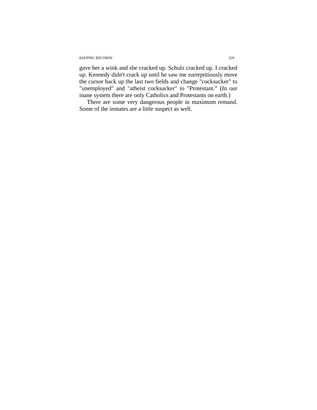#### KEEPING RECORDS 229

gave her a wink and she cracked up. Schulz cracked up. I cracked up. Kennedy didn't crack up until he saw me surreptitiously move the cursor back up the last two fields and change "cocksucker" to "unemployed" and "atheist cocksucker" to "Protestant." (In our inane system there are only Catholics and Protestants on earth.)

There are some very dangerous people in maximum remand. Some of the inmates are a little suspect as well.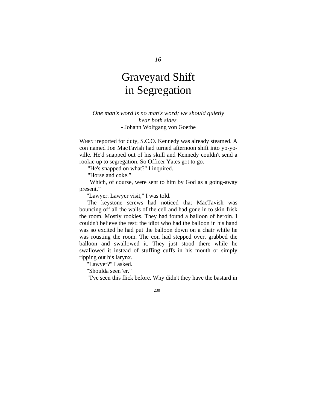# Graveyard Shift in Segregation

### *One man's word is no man's word; we should quietly hear both sides.*  - Johann Wolfgang von Goethe

WHEN I reported for duty, S.C.O. Kennedy was already steamed. A con named Joe MacTavish had turned afternoon shift into yo-yoville. He'd snapped out of his skull and Kennedy couldn't send a rookie up to segregation. So Officer Yates got to go.

"He's snapped on what?" I inquired.

"Horse and coke."

"Which, of course, were sent to him by God as a going-away present."

"Lawyer. Lawyer visit," I was told.

The keystone screws had noticed that MacTavish was bouncing off all the walls of the cell and had gone in to skin-frisk the room. Mostly rookies. They had found a balloon of heroin. I couldn't believe the rest: the idiot who had the balloon in his hand was so excited he had put the balloon down on a chair while he was rousting the room. The con had stepped over, grabbed the balloon and swallowed it. They just stood there while he swallowed it instead of stuffing cuffs in his mouth or simply ripping out his larynx.

"Lawyer?" I asked.

"Shoulda seen 'er."

"I've seen this flick before. Why didn't they have the bastard in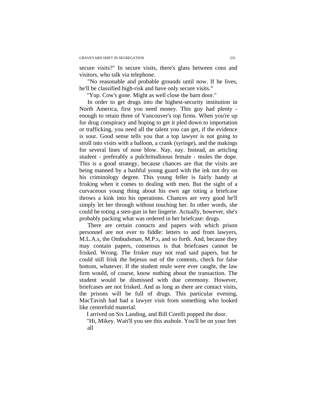secure visits?" In secure visits, there's glass between cons and visitors, who talk via telephone.

"No reasonable and probable grounds until now. If he lives, he'll be classified high-risk and have only secure visits."

"Yup. Cow's gone. Might as well close the barn door."

In order to get drugs into the highest-security institution in North America, first you need money. This guy had plenty enough to retain three of Vancouver's top firms. When you're up for drug conspiracy and hoping to get it pled down to importation or trafficking, you need all the talent you can get, if the evidence is sour. Good sense tells you that a top lawyer is not going to stroll into visits with a balloon, a crank (syringe), and the makings for several lines of nose blow. Nay, nay. Instead, an articling student - preferably a pulchritudinous female - mules the dope. This is a good strategy, because chances are that the visits are being manned by a bashful young guard with the ink not dry on his criminology degree. This young feller is fairly handy at frisking when it comes to dealing with men. But the sight of a curvaceous young thing about his own age toting a briefcase throws a kink into his operations. Chances are very good he'll simply let her through without touching her. In other words, she could be toting a sten-gun in her lingerie. Actually, however, she's probably packing what was ordered in her briefcase: drugs.

There are certain contacts and papers with which prison personnel are not ever to fiddle: letters to and from lawyers, M.L.A.s, the Ombudsman, M.P.s, and so forth. And, because they may contain papers, consensus is that briefcases cannot be frisked. Wrong. The frisker may not read said papers, but he could still frisk the bejesus out of the contents, check for false bottom, whatever. If the student mule were ever caught, the law firm would, of course, know nothing about the transaction. The student would be dismissed with due ceremony. However, briefcases are not frisked. And as long as there are contact visits, the prisons will be full of drugs. This particular evening, MacTavish had had a lawyer visit from something who looked like centrefold material.

I arrived on Six Landing, and Bill Corelli popped the door.

"Hi, Mikey. Wait'll you see this asshole. You'll be on your feet all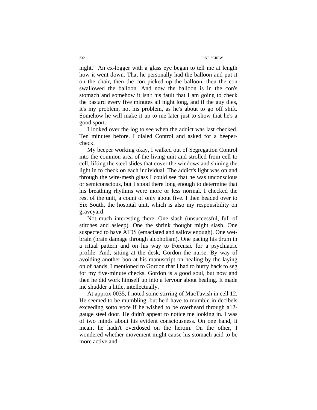#### 232 LINE SCREW

night." An ex-logger with a glass eye began to tell me at length how it went down. That he personally had the balloon and put it on the chair, then the con picked up the balloon, then the con swallowed the balloon. And now the balloon is in the con's stomach and somehow it isn't his fault that I am going to check the bastard every five minutes all night long, and if the guy dies, it's my problem, not his problem, as he's about to go off shift. Somehow he will make it up to me later just to show that he's a good sport.

I looked over the log to see when the addict was last checked. Ten minutes before. I dialed Control and asked for a beepercheck.

My beeper working okay, I walked out of Segregation Control into the common area of the living unit and strolled from cell to cell, lifting the steel slides that cover the windows and shining the light in to check on each individual. The addict's light was on and through the wire-mesh glass I could see that he was unconscious or semiconscious, but I stood there long enough to determine that his breathing rhythms were more or less normal. I checked the rest of the unit, a count of only about five. I then headed over to Six South, the hospital unit, which is also my responsibility on graveyard.

Not much interesting there. One slash (unsuccessful, full of stitches and asleep). One the shrink thought might slash. One suspected to have AIDS (emaciated and sallow enough). One wetbrain (brain damage through alcoholism). One pacing his drum in a ritual pattern and on his way to Forensic for a psychiatric profile. And, sitting at the desk, Gordon the nurse. By way of avoiding another boo at his manuscript on healing by the laying on of hands, I mentioned to Gordon that I had to hurry back to seg for my five-minute checks. Gordon is a good soul, but now and then he did work himself up into a fervour about healing. It made me shudder a little, intellectually.

At approx 0035, I noted some stirring of MacTavish in cell 12. He seemed to be mumbling, but he'd have to mumble in decibels exceeding sotto voce if he wished to be overheard through a12 gauge steel door. He didn't appear to notice me looking in. I was of two minds about his evident consciousness. On one hand, it meant he hadn't overdosed on the heroin. On the other, I wondered whether movement might cause his stomach acid to be more active and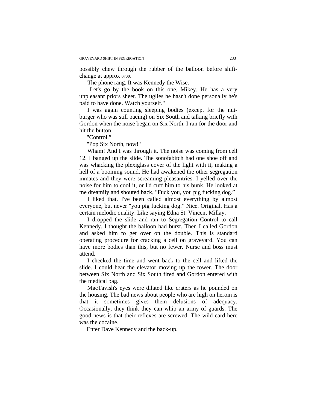possibly chew through the rubber of the balloon before shiftchange at approx 0700.

The phone rang. It was Kennedy the Wise.

"Let's go by the book on this one, Mikey. He has a very unpleasant priors sheet. The uglies he hasn't done personally he's paid to have done. Watch yourself."

I was again counting sleeping bodies (except for the nutburger who was still pacing) on Six South and talking briefly with Gordon when the noise began on Six North. I ran for the door and hit the button.

"Control."

"Pop Six North, now!"

Wham! And I was through it. The noise was coming from cell 12. I banged up the slide. The sonofabitch had one shoe off and was whacking the plexiglass cover of the light with it, making a hell of a booming sound. He had awakened the other segregation inmates and they were screaming pleasantries. I yelled over the noise for him to cool it, or I'd cuff him to his bunk. He looked at me dreamily and shouted back, "Fuck you, you pig fucking dog."

I liked that. I've been called almost everything by almost everyone, but never "you pig fucking dog." Nice. Original. Has a certain melodic quality. Like saying Edna St. Vincent Millay.

I dropped the slide and ran to Segregation Control to call Kennedy. I thought the balloon had burst. Then I called Gordon and asked him to get over on the double. This is standard operating procedure for cracking a cell on graveyard. You can have more bodies than this, but no fewer. Nurse and boss must attend.

I checked the time and went back to the cell and lifted the slide. I could hear the elevator moving up the tower. The door between Six North and Six South fired and Gordon entered with the medical bag.

MacTavish's eyes were dilated like craters as he pounded on the housing. The bad news about people who are high on heroin is that it sometimes gives them delusions of adequacy. Occasionally, they think they can whip an army of guards. The good news is that their reflexes are screwed. The wild card here was the cocaine.

Enter Dave Kennedy and the back-up.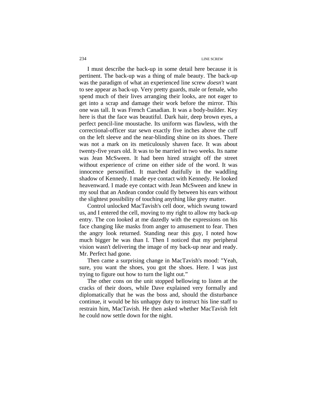I must describe the back-up in some detail here because it is pertinent. The back-up was a thing of male beauty. The back-up was the paradigm of what an experienced line screw *doesn't* want to see appear as back-up. Very pretty guards, male or female, who spend much of their lives arranging their looks, are not eager to get into a scrap and damage their work before the mirror. This one was tall. It was French Canadian. It was a body-builder. Key here is that the face was beautiful. Dark hair, deep brown eyes, a perfect pencil-line moustache. Its uniform was flawless, with the correctional-officer star sewn exactly five inches above the cuff on the left sleeve and the near-blinding shine on its shoes. There was not a mark on its meticulously shaven face. It was about twenty-five years old. It was to be married in two weeks. Its name was Jean McSween. It had been hired straight off the street without experience of crime on either side of the word. It was innocence personified. It marched dutifully in the waddling shadow of Kennedy. I made eye contact with Kennedy. He looked heavenward. I made eye contact with Jean McSween and knew in my soul that an Andean condor could fly between his ears without the slightest possibility of touching anything like grey matter.

Control unlocked MacTavish's cell door, which swung toward us, and I entered the cell, moving to my right to allow my back-up entry. The con looked at me dazedly with the expressions on his face changing like masks from anger to amusement to fear. Then the angry look returned. Standing near this guy, I noted how much bigger he was than I. Then I noticed that my peripheral vision wasn't delivering the image of my back-up near and ready. Mr. Perfect had gone.

Then came a surprising change in MacTavish's mood: "Yeah, sure, you want the shoes, you got the shoes. Here. I was just trying to figure out how to turn the light out."

The other cons on the unit stopped bellowing to listen at the cracks of their doors, while Dave explained very formally and diplomatically that he was the boss and, should the disturbance continue, it would be his unhappy duty to instruct his line staff to restrain him, MacTavish. He then asked whether MacTavish felt he could now settle down for the night.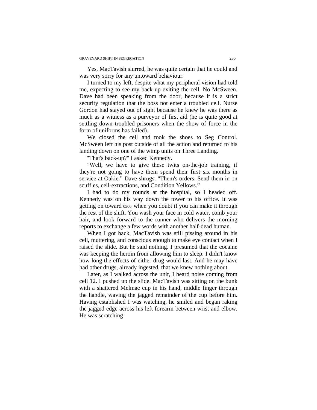Yes, MacTavish slurred, he was quite certain that he could and was very sorry for any untoward behaviour.

I turned to my left, despite what my peripheral vision had told me, expecting to see my back-up exiting the cell. No McSween. Dave had been speaking from the door, because it is a strict security regulation that the boss not enter a troubled cell. Nurse Gordon had stayed out of sight because he knew he was there as much as a witness as a purveyor of first aid (he is quite good at settling down troubled prisoners when the show of force in the form of uniforms has failed).

We closed the cell and took the shoes to Seg Control. McSween left his post outside of all the action and returned to his landing down on one of the wimp units on Three Landing.

"That's back-up?" I asked Kennedy.

"Well, we have to give these twits on-the-job training, if they're not going to have them spend their first six months in service at Oakie." Dave shrugs. "Them's orders. Send them in on scuffles, cell-extractions, and Condition Yellows."

I had to do my rounds at the hospital, so I headed off. Kennedy was on his way down the tower to his office. It was getting on toward 0500, when you doubt if you can make it through the rest of the shift. You wash your face in cold water, comb your hair, and look forward to the runner who delivers the morning reports to exchange a few words with another half-dead human.

When I got back, MacTavish was still pissing around in his cell, muttering, and conscious enough to make eye contact when I raised the slide. But he said nothing. I presumed that the cocaine was keeping the heroin from allowing him to sleep. I didn't know how long the effects of either drug would last. And he may have had other drugs, already ingested, that we knew nothing about.

Later, as I walked across the unit, I heard noise coming from cell 12. I pushed up the slide. MacTavish was sitting on the bunk with a shattered Melmac cup in his hand, middle finger through the handle, waving the jagged remainder of the cup before him. Having established I was watching, he smiled and began raking the jagged edge across his left forearm between wrist and elbow. He was scratching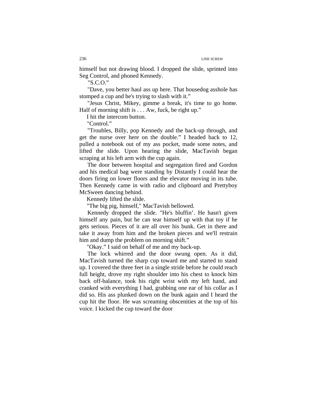himself but not drawing blood. I dropped the slide, sprinted into Seg Control, and phoned Kennedy.

"S.C.O."

"Dave, you better haul ass up here. That housedog asshole has stomped a cup and he's trying to slash with it."

"Jesus Christ, Mikey, gimme a break, it's time to go home. Half of morning shift is . . . Aw, fuck, be right up."

I hit the intercom button.

"Control."

"Troubles, Billy, pop Kennedy and the back-up through, and get the nurse over here on the double." I headed back to 12, pulled a notebook out of my ass pocket, made some notes, and lifted the slide. Upon hearing the slide, MacTavish began scraping at his left arm with the cup again.

The door between hospital and segregation fired and Gordon and his medical bag were standing by Distantly I could hear the doors firing on lower floors and the elevator moving in its tube. Then Kennedy came in with radio and clipboard and Prettyboy McSween dancing behind.

Kennedy lifted the slide.

"The big pig, himself," MacTavish bellowed.

Kennedy dropped the slide. "He's bluffin'. He hasn't given himself any pain, but he can tear himself up with that toy if he gets serious. Pieces of it are all over his bunk. Get in there and take it away from him and the broken pieces and we'll restrain him and dump the problem on morning shift."

"Okay." I said on behalf of me and my back-up.

The lock whirred and the door swung open. As it did, MacTavish turned the sharp cup toward me and started to stand up. I covered the three feet in a single stride before he could reach full height, drove my right shoulder into his chest to knock him back off-balance, took his right wrist with my left hand, and cranked with everything I had, grabbing one ear of his collar as I did so. His ass plunked down on the bunk again and I heard the cup hit the floor. He was screaming obscenities at the top of his voice. I kicked the cup toward the door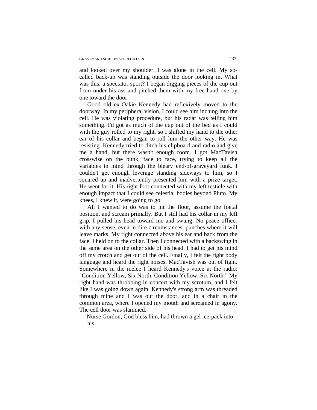and looked over my shoulder. I was alone in the cell. My socalled back-up was standing outside the door looking in. What was this, a spectator sport? I began digging pieces of the cup out from under his ass and pitched them with my free hand one by one toward the door.

Good old ex-Oakie Kennedy had reflexively moved to the doorway. In my peripheral vision, I could see him inching into the cell. He was violating procedure, but his radar was telling him something. I'd got as much of the cup out of the bed as I could with the guy rolled to my right, so I shifted my hand to the other ear of his collar and began to roll him the other way. He was resisting. Kennedy tried to ditch his clipboard and radio and give me a hand, but there wasn't enough room. I got MacTavish crosswise on the bunk, face to face, trying to keep all the variables in mind through the bleary end-of-graveyard funk. I couldn't get enough leverage standing sideways to him, so I squared up and inadvertently presented him with a prize target. He went for it. His right foot connected with my left testicle with enough impact that I could see celestial bodies beyond Pluto. My knees, I knew it, were going to go.

All I wanted to do was to hit the floor, assume the foetal position, and scream primally. But I still had his collar in my left grip. I pulled his head toward me and swung. No peace officer with any sense, even in dire circumstances, punches where it will leave marks. My right connected above his ear and back from the face. I held on to the collar. Then I connected with a backswing in the same area on the other side of his head. I had to get his mind off my crotch and get out of the cell. Finally, I felt the right body language and heard the right noises. MacTavish was out of fight. Somewhere in the melee I heard Kennedy's voice at the radio: "Condition Yellow, Six North, Condition Yellow, Six North." My right hand was throbbing in concert with my scrotum, and I felt like I was going down again. Kennedy's strong arm was threaded through mine and I was out the door, and in a chair in the common area, where I opened my mouth and screamed in agony. The cell door was slammed.

Nurse Gordon, God bless him, had thrown a gel ice-pack into his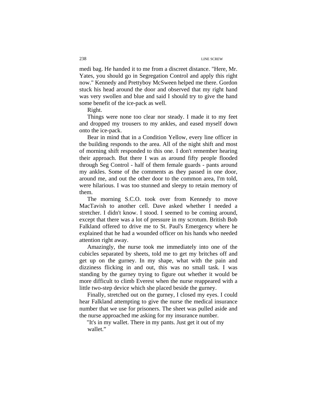medi bag. He handed it to me from a discreet distance. "Here, Mr. Yates, you should go in Segregation Control and apply this right now." Kennedy and Prettyboy McSween helped me there. Gordon stuck his head around the door and observed that my right hand was very swollen and blue and said I should try to give the hand some benefit of the ice-pack as well.

Right.

Things were none too clear nor steady. I made it to my feet and dropped my trousers to my ankles, and eased myself down onto the ice-pack.

Bear in mind that in a Condition Yellow, every line officer in the building responds to the area. All of the night shift and most of morning shift responded to this one. I don't remember hearing their approach. But there I was as around fifty people flooded through Seg Control - half of them female guards - pants around my ankles. Some of the comments as they passed in one door, around me, and out the other door to the common area, I'm told, were hilarious. I was too stunned and sleepy to retain memory of them.

The morning S.C.O. took over from Kennedy to move MacTavish to another cell. Dave asked whether I needed a stretcher. I didn't know. I stood. I seemed to be coming around, except that there was a lot of pressure in my scrotum. British Bob Falkland offered to drive me to St. Paul's Emergency where he explained that he had a wounded officer on his hands who needed attention right away.

Amazingly, the nurse took me immediately into one of the cubicles separated by sheets, told me to get my britches off and get up on the gurney. In my shape, what with the pain and dizziness flicking in and out, this was no small task. I was standing by the gurney trying to figure out whether it would be more difficult to climb Everest when the nurse reappeared with a little two-step device which she placed beside the gurney.

Finally, stretched out on the gurney, I closed my eyes. I could hear Falkland attempting to give the nurse the medical insurance number that we use for prisoners. The sheet was pulled aside and the nurse approached me asking for my insurance number.

"It's in my wallet. There in my pants. Just get it out of my wallet."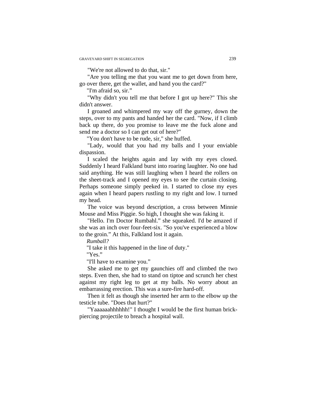"We're not allowed to do that, sir."

"Are you telling me that you want me to get down from here, go over there, get the wallet, and hand you the card?"

"I'm afraid so, sir."

"Why didn't you tell me that before I got up here?" This she didn't answer.

I groaned and whimpered my way off the gurney, down the steps, over to my pants and handed her the card. "Now, if I climb back up there, do you promise to leave me the fuck alone and send me a doctor so I can get out of here?"

"You don't have to be rude, sir," she huffed.

"Lady, would that you had my balls and I your enviable dispassion.

I scaled the heights again and lay with my eyes closed. Suddenly I heard Falkland burst into roaring laughter. No one had said anything. He was still laughing when I heard the rollers on the sheet-track and I opened my eyes to see the curtain closing. Perhaps someone simply peeked in. I started to close my eyes again when I heard papers rustling to my right and low. I turned my head.

The voice was beyond description, a cross between Minnie Mouse and Miss Piggie. So high, I thought she was faking it.

"Hello. I'm Doctor Rumbahl." she squeaked. I'd be amazed if she was an inch over four-feet-six. "So you've experienced a blow to the groin." At this, Falkland lost it again.

*Rumball?* 

"I take it this happened in the line of duty."

"Yes."

"I'll have to examine you."

She asked me to get my gaunchies off and climbed the two steps. Even then, she had to stand on tiptoe and scrunch her chest against my right leg to get at my balls. No worry about an embarrassing erection. This was a sure-fire hard-off.

Then it felt as though she inserted her arm to the elbow up the testicle tube. "Does that hurt?"

"Yaaaaaahhhhhh!" I thought I would be the first human brickpiercing projectile to breach a hospital wall.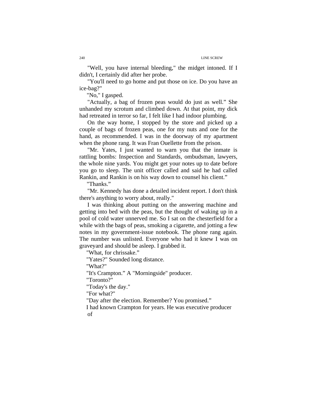"Well, you have internal bleeding," the midget intoned. If I didn't, I certainly did after her probe.

"You'll need to go home and put those on ice. Do you have an ice-bag?"

"No," I gasped.

"Actually, a bag of frozen peas would do just as well." She unhanded my scrotum and climbed down. At that point, my dick had retreated in terror so far, I felt like I had indoor plumbing.

On the way home, I stopped by the store and picked up a couple of bags of frozen peas, one for my nuts and one for the hand, as recommended. I was in the doorway of my apartment when the phone rang. It was Fran Ouellette from the prison.

"Mr. Yates, I just wanted to warn you that the inmate is rattling bombs: Inspection and Standards, ombudsman, lawyers, the whole nine yards. You might get your notes up to date before you go to sleep. The unit officer called and said he had called Rankin, and Rankin is on his way down to counsel his client."

"Thanks."

"Mr. Kennedy has done a detailed incident report. I don't think there's anything to worry about, really."

I was thinking about putting on the answering machine and getting into bed with the peas, but the thought of waking up in a pool of cold water unnerved me. So I sat on the chesterfield for a while with the bags of peas, smoking a cigarette, and jotting a few notes in my government-issue notebook. The phone rang again. The number was unlisted. Everyone who had it knew I was on graveyard and should be asleep. I grabbed it.

"What, for chrissake."

"Yates?" Sounded long distance.

"What?"

"It's Crampton." A "Morningside" producer.

"Toronto?"

"Today's the day."

"For what?"

"Day after the election. Remember? You promised."

I had known Crampton for years. He was executive producer of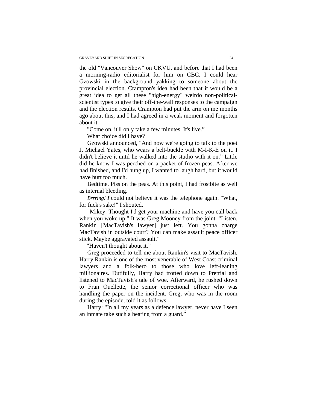the old "Vancouver Show" on CKVU, and before that I had been a morning-radio editorialist for him on CBC. I could hear Gzowski in the background yakking to someone about the provincial election. Crampton's idea had been that it would be a great idea to get all these "high-energy" weirdo non-politicalscientist types to give their off-the-wall responses to the campaign and the election results. Crampton had put the arm on me months ago about this, and I had agreed in a weak moment and forgotten about it.

"Come on, it'll only take a few minutes. It's live."

What choice did I have?

Gzowski announced, "And now we're going to talk to the poet J. Michael Yates, who wears a belt-buckle with M-I-K-E on it. I didn't believe it until he walked into the studio with it on." Little did he know I was perched on a packet of frozen peas. After we had finished, and I'd hung up, I wanted to laugh hard, but it would have hurt too much.

Bedtime. Piss on the peas. At this point, I had frostbite as well as internal bleeding.

*Brrring! I* could not believe it was the telephone again. "What, for fuck's sake!" I shouted.

"Mikey. Thought I'd get your machine and have you call back when you woke up." It was Greg Mooney from the joint. "Listen. Rankin [MacTavish's lawyer] just left. You gonna charge MacTavish in outside court? You can make assault peace officer stick. Maybe aggravated assault."

"Haven't thought about it."

Greg proceeded to tell me about Rankin's visit to MacTavish. Harry Rankin is one of the most venerable of West Coast criminal lawyers and a folk-hero to those who love left-leaning millionaires. Dutifully, Harry had trotted down to Pretrial and listened to MacTavish's tale of woe. Afterward, he rushed down to Fran Ouellette, the senior correctional officer who was handling the paper on the incident. Greg, who was in the room during the episode, told it as follows:

Harry: "In all my years as a defence lawyer, never have I seen an inmate take such a beating from a guard."